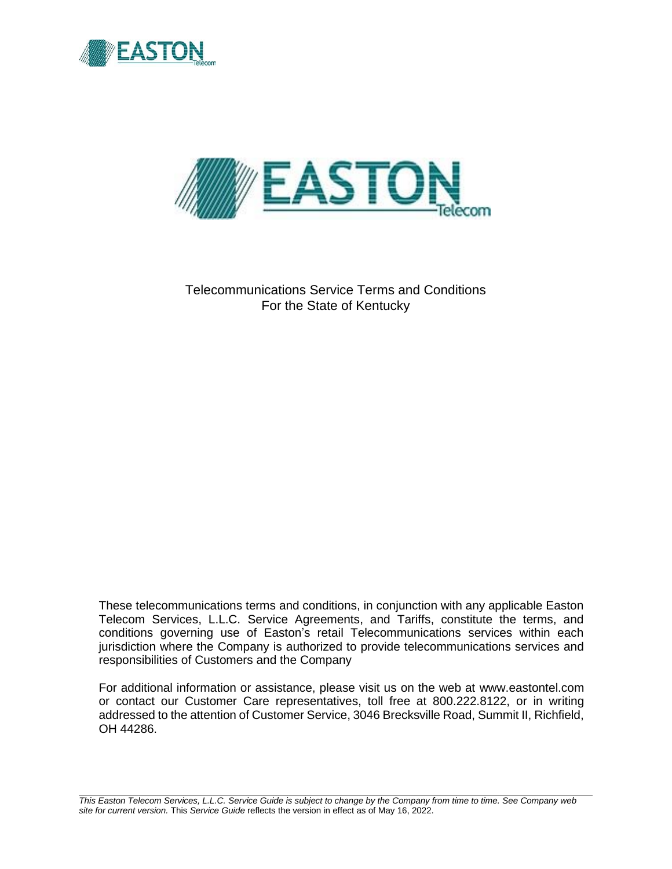



Telecommunications Service Terms and Conditions For the State of Kentucky

These telecommunications terms and conditions, in conjunction with any applicable Easton Telecom Services, L.L.C. Service Agreements, and Tariffs, constitute the terms, and conditions governing use of Easton's retail Telecommunications services within each jurisdiction where the Company is authorized to provide telecommunications services and responsibilities of Customers and the Company

For additional information or assistance, please visit us on the web at www.eastontel.com or contact our Customer Care representatives, toll free at 800.222.8122, or in writing addressed to the attention of Customer Service, 3046 Brecksville Road, Summit II, Richfield, OH 44286.

*This Easton Telecom Services, L.L.C. Service Guide is subject to change by the Company from time to time. See Company web site for current version.* This *Service Guide* reflects the version in effect as of May 16, 2022.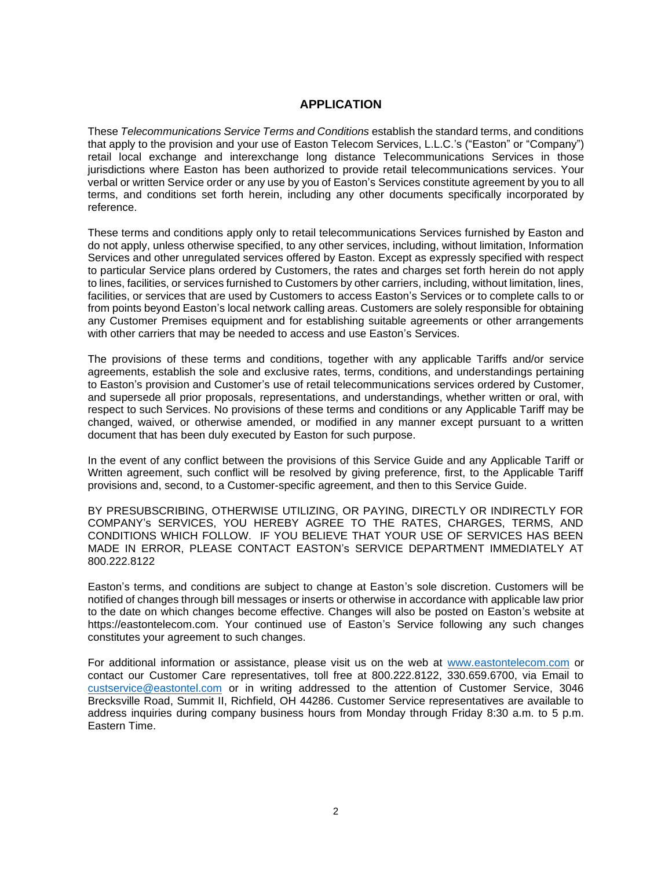### **APPLICATION**

These *Telecommunications Service Terms and Conditions* establish the standard terms, and conditions that apply to the provision and your use of Easton Telecom Services, L.L.C.'s ("Easton" or "Company") retail local exchange and interexchange long distance Telecommunications Services in those jurisdictions where Easton has been authorized to provide retail telecommunications services. Your verbal or written Service order or any use by you of Easton's Services constitute agreement by you to all terms, and conditions set forth herein, including any other documents specifically incorporated by reference.

These terms and conditions apply only to retail telecommunications Services furnished by Easton and do not apply, unless otherwise specified, to any other services, including, without limitation, Information Services and other unregulated services offered by Easton. Except as expressly specified with respect to particular Service plans ordered by Customers, the rates and charges set forth herein do not apply to lines, facilities, or services furnished to Customers by other carriers, including, without limitation, lines, facilities, or services that are used by Customers to access Easton's Services or to complete calls to or from points beyond Easton's local network calling areas. Customers are solely responsible for obtaining any Customer Premises equipment and for establishing suitable agreements or other arrangements with other carriers that may be needed to access and use Easton's Services.

The provisions of these terms and conditions, together with any applicable Tariffs and/or service agreements, establish the sole and exclusive rates, terms, conditions, and understandings pertaining to Easton's provision and Customer's use of retail telecommunications services ordered by Customer, and supersede all prior proposals, representations, and understandings, whether written or oral, with respect to such Services. No provisions of these terms and conditions or any Applicable Tariff may be changed, waived, or otherwise amended, or modified in any manner except pursuant to a written document that has been duly executed by Easton for such purpose.

In the event of any conflict between the provisions of this Service Guide and any Applicable Tariff or Written agreement, such conflict will be resolved by giving preference, first, to the Applicable Tariff provisions and, second, to a Customer-specific agreement, and then to this Service Guide.

BY PRESUBSCRIBING, OTHERWISE UTILIZING, OR PAYING, DIRECTLY OR INDIRECTLY FOR COMPANY's SERVICES, YOU HEREBY AGREE TO THE RATES, CHARGES, TERMS, AND CONDITIONS WHICH FOLLOW. IF YOU BELIEVE THAT YOUR USE OF SERVICES HAS BEEN MADE IN ERROR, PLEASE CONTACT EASTON's SERVICE DEPARTMENT IMMEDIATELY AT 800.222.8122

Easton's terms, and conditions are subject to change at Easton's sole discretion. Customers will be notified of changes through bill messages or inserts or otherwise in accordance with applicable law prior to the date on which changes become effective. Changes will also be posted on Easton's website at https://eastontelecom.com. Your continued use of Easton's Service following any such changes constitutes your agreement to such changes.

For additional information or assistance, please visit us on the web at www.eastontelecom.com or contact our Customer Care representatives, toll free at 800.222.8122, 330.659.6700, via Email to custservice@eastontel.com or in writing addressed to the attention of Customer Service, 3046 Brecksville Road, Summit II, Richfield, OH 44286. Customer Service representatives are available to address inquiries during company business hours from Monday through Friday 8:30 a.m. to 5 p.m. Eastern Time.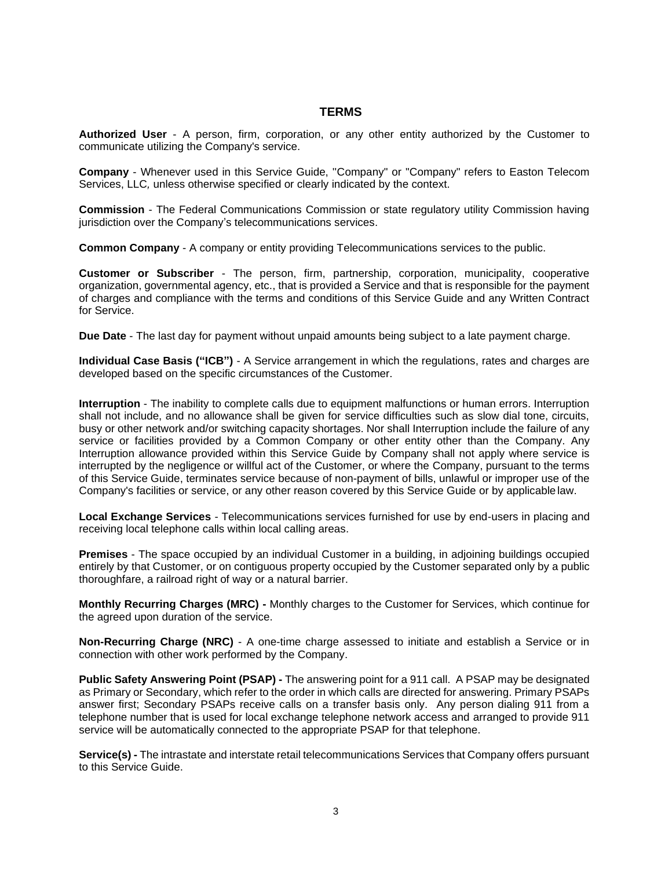#### **TERMS**

**Authorized User** - A person, firm, corporation, or any other entity authorized by the Customer to communicate utilizing the Company's service.

**Company** - Whenever used in this Service Guide, ''Company" or "Company" refers to Easton Telecom Services, LLC*,* unless otherwise specified or clearly indicated by the context.

**Commission** - The Federal Communications Commission or state regulatory utility Commission having jurisdiction over the Company's telecommunications services.

**Common Company** - A company or entity providing Telecommunications services to the public.

**Customer or Subscriber** - The person, firm, partnership, corporation, municipality, cooperative organization, governmental agency, etc., that is provided a Service and that is responsible for the payment of charges and compliance with the terms and conditions of this Service Guide and any Written Contract for Service.

**Due Date** - The last day for payment without unpaid amounts being subject to a late payment charge.

**Individual Case Basis ("ICB")** - A Service arrangement in which the regulations, rates and charges are developed based on the specific circumstances of the Customer.

**Interruption** - The inability to complete calls due to equipment malfunctions or human errors. Interruption shall not include, and no allowance shall be given for service difficulties such as slow dial tone, circuits, busy or other network and/or switching capacity shortages. Nor shall Interruption include the failure of any service or facilities provided by a Common Company or other entity other than the Company. Any Interruption allowance provided within this Service Guide by Company shall not apply where service is interrupted by the negligence or willful act of the Customer, or where the Company, pursuant to the terms of this Service Guide, terminates service because of non-payment of bills, unlawful or improper use of the Company's facilities or service, or any other reason covered by this Service Guide or by applicable law.

**Local Exchange Services** - Telecommunications services furnished for use by end-users in placing and receiving local telephone calls within local calling areas.

**Premises** - The space occupied by an individual Customer in a building, in adjoining buildings occupied entirely by that Customer, or on contiguous property occupied by the Customer separated only by a public thoroughfare, a railroad right of way or a natural barrier.

**Monthly Recurring Charges (MRC) -** Monthly charges to the Customer for Services, which continue for the agreed upon duration of the service.

**Non-Recurring Charge (NRC)** - A one-time charge assessed to initiate and establish a Service or in connection with other work performed by the Company.

**Public Safety Answering Point (PSAP) -** The answering point for a 911 call. A PSAP may be designated as Primary or Secondary, which refer to the order in which calls are directed for answering. Primary PSAPs answer first; Secondary PSAPs receive calls on a transfer basis only. Any person dialing 911 from a telephone number that is used for local exchange telephone network access and arranged to provide 911 service will be automatically connected to the appropriate PSAP for that telephone.

**Service(s) -** The intrastate and interstate retail telecommunications Services that Company offers pursuant to this Service Guide.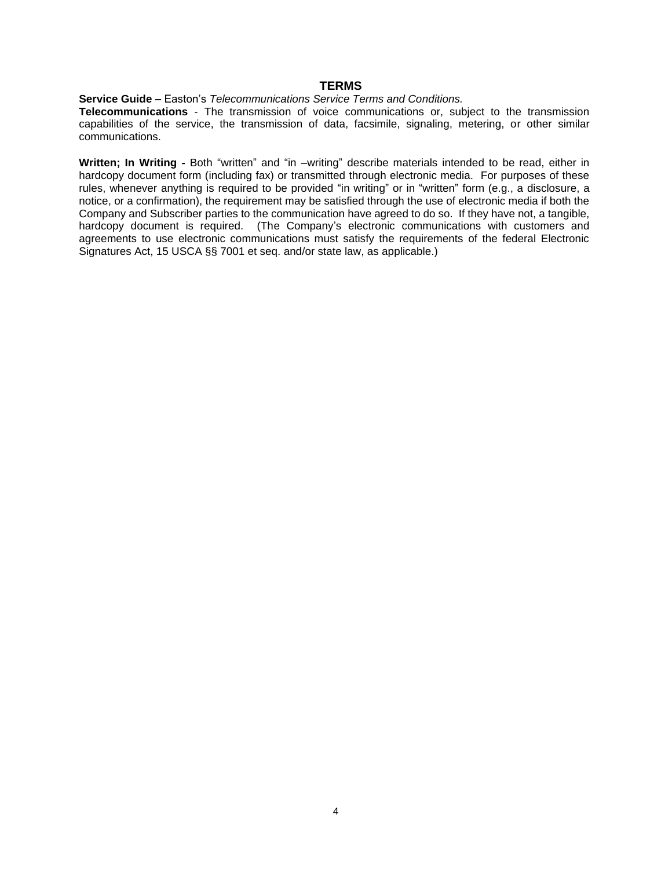#### **TERMS**

#### **Service Guide –** Easton's *Telecommunications Service Terms and Conditions.*

**Telecommunications** - The transmission of voice communications or, subject to the transmission capabilities of the service, the transmission of data, facsimile, signaling, metering, or other similar communications.

**Written; In Writing -** Both "written" and "in –writing" describe materials intended to be read, either in hardcopy document form (including fax) or transmitted through electronic media. For purposes of these rules, whenever anything is required to be provided "in writing" or in "written" form (e.g., a disclosure, a notice, or a confirmation), the requirement may be satisfied through the use of electronic media if both the Company and Subscriber parties to the communication have agreed to do so. If they have not, a tangible, hardcopy document is required. (The Company's electronic communications with customers and agreements to use electronic communications must satisfy the requirements of the federal Electronic Signatures Act, 15 USCA §§ 7001 et seq. and/or state law, as applicable.)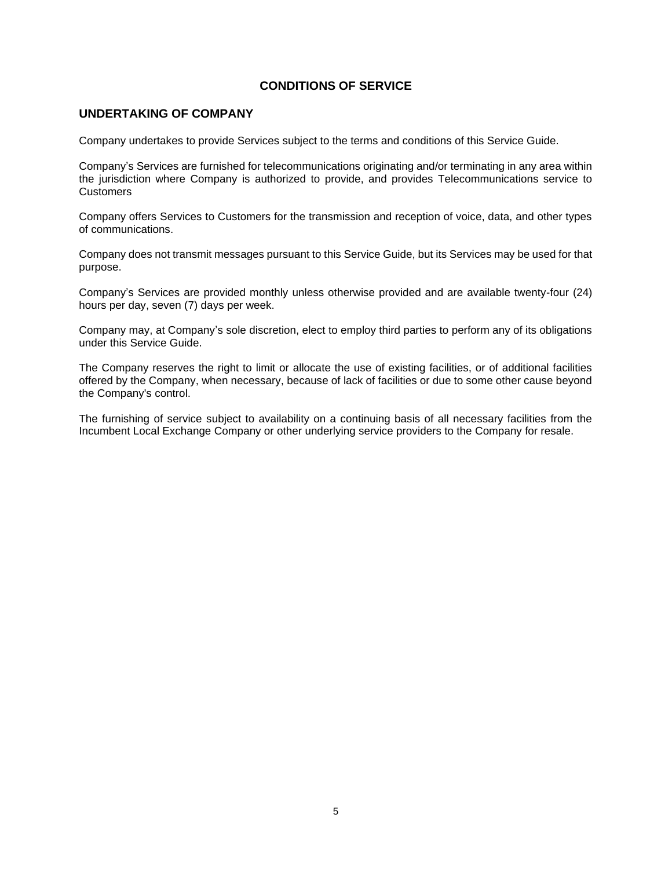### **UNDERTAKING OF COMPANY**

Company undertakes to provide Services subject to the terms and conditions of this Service Guide.

Company's Services are furnished for telecommunications originating and/or terminating in any area within the jurisdiction where Company is authorized to provide, and provides Telecommunications service to Customers

Company offers Services to Customers for the transmission and reception of voice, data, and other types of communications.

Company does not transmit messages pursuant to this Service Guide, but its Services may be used for that purpose.

Company's Services are provided monthly unless otherwise provided and are available twenty-four (24) hours per day, seven (7) days per week.

Company may, at Company's sole discretion, elect to employ third parties to perform any of its obligations under this Service Guide.

The Company reserves the right to limit or allocate the use of existing facilities, or of additional facilities offered by the Company, when necessary, because of lack of facilities or due to some other cause beyond the Company's control.

The furnishing of service subject to availability on a continuing basis of all necessary facilities from the Incumbent Local Exchange Company or other underlying service providers to the Company for resale.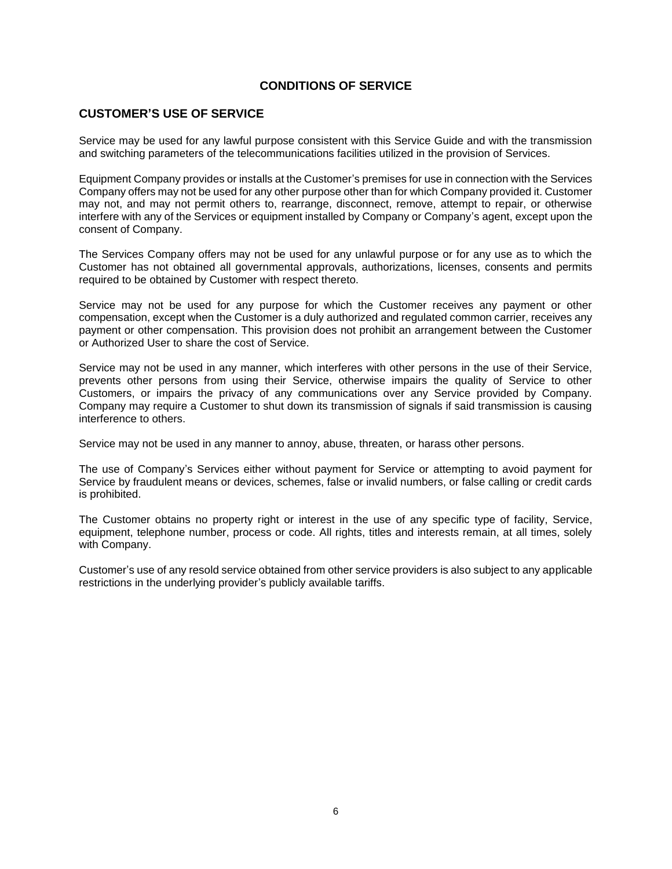## **CUSTOMER'S USE OF SERVICE**

Service may be used for any lawful purpose consistent with this Service Guide and with the transmission and switching parameters of the telecommunications facilities utilized in the provision of Services.

Equipment Company provides or installs at the Customer's premises for use in connection with the Services Company offers may not be used for any other purpose other than for which Company provided it. Customer may not, and may not permit others to, rearrange, disconnect, remove, attempt to repair, or otherwise interfere with any of the Services or equipment installed by Company or Company's agent, except upon the consent of Company.

The Services Company offers may not be used for any unlawful purpose or for any use as to which the Customer has not obtained all governmental approvals, authorizations, licenses, consents and permits required to be obtained by Customer with respect thereto.

Service may not be used for any purpose for which the Customer receives any payment or other compensation, except when the Customer is a duly authorized and regulated common carrier, receives any payment or other compensation. This provision does not prohibit an arrangement between the Customer or Authorized User to share the cost of Service.

Service may not be used in any manner, which interferes with other persons in the use of their Service, prevents other persons from using their Service, otherwise impairs the quality of Service to other Customers, or impairs the privacy of any communications over any Service provided by Company. Company may require a Customer to shut down its transmission of signals if said transmission is causing interference to others.

Service may not be used in any manner to annoy, abuse, threaten, or harass other persons.

The use of Company's Services either without payment for Service or attempting to avoid payment for Service by fraudulent means or devices, schemes, false or invalid numbers, or false calling or credit cards is prohibited.

The Customer obtains no property right or interest in the use of any specific type of facility, Service, equipment, telephone number, process or code. All rights, titles and interests remain, at all times, solely with Company.

Customer's use of any resold service obtained from other service providers is also subject to any applicable restrictions in the underlying provider's publicly available tariffs.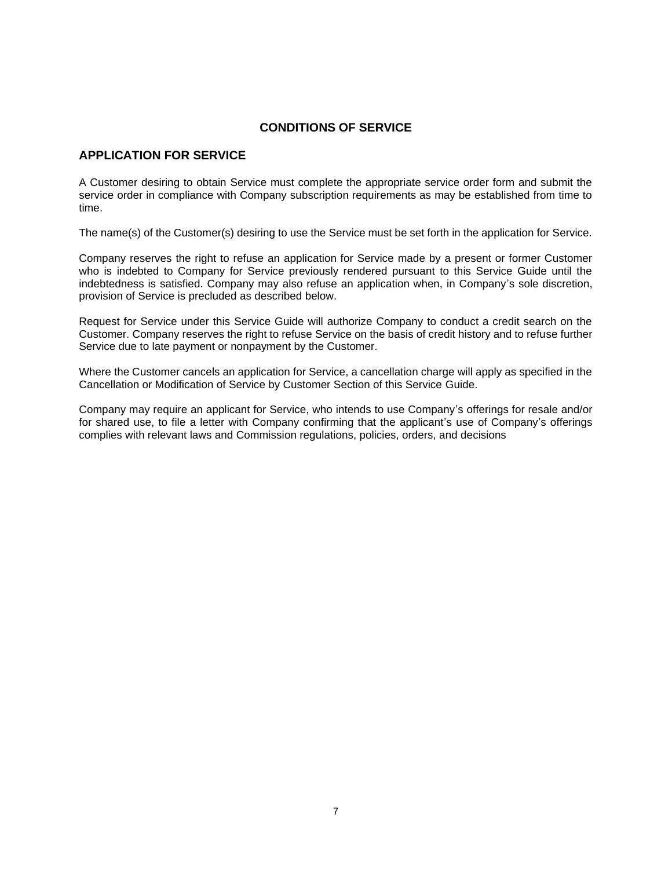### **APPLICATION FOR SERVICE**

A Customer desiring to obtain Service must complete the appropriate service order form and submit the service order in compliance with Company subscription requirements as may be established from time to time.

The name(s) of the Customer(s) desiring to use the Service must be set forth in the application for Service.

Company reserves the right to refuse an application for Service made by a present or former Customer who is indebted to Company for Service previously rendered pursuant to this Service Guide until the indebtedness is satisfied. Company may also refuse an application when, in Company's sole discretion, provision of Service is precluded as described below.

Request for Service under this Service Guide will authorize Company to conduct a credit search on the Customer. Company reserves the right to refuse Service on the basis of credit history and to refuse further Service due to late payment or nonpayment by the Customer.

Where the Customer cancels an application for Service, a cancellation charge will apply as specified in the Cancellation or Modification of Service by Customer Section of this Service Guide.

Company may require an applicant for Service, who intends to use Company's offerings for resale and/or for shared use, to file a letter with Company confirming that the applicant's use of Company's offerings complies with relevant laws and Commission regulations, policies, orders, and decisions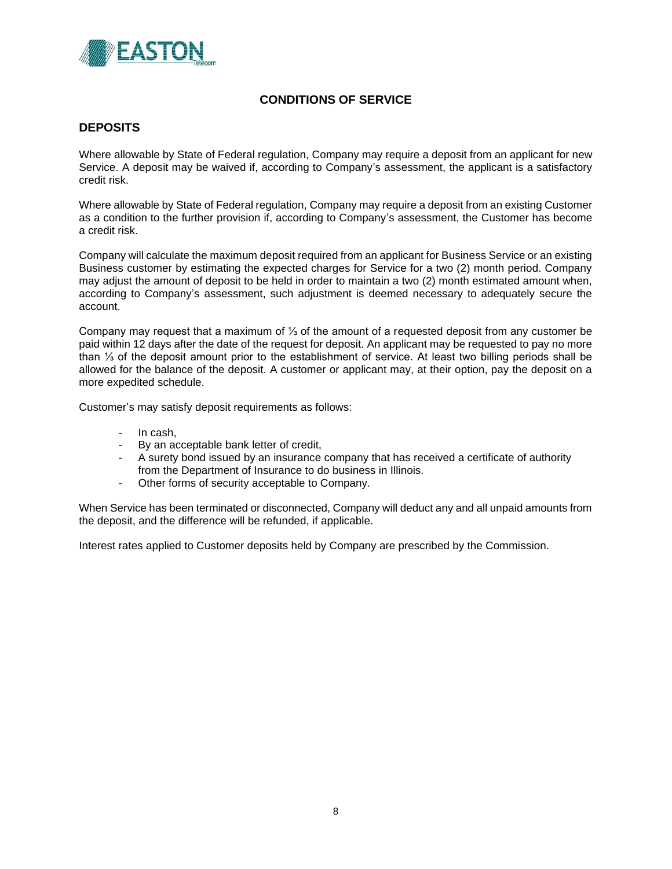

### **DEPOSITS**

Where allowable by State of Federal regulation, Company may require a deposit from an applicant for new Service. A deposit may be waived if, according to Company's assessment, the applicant is a satisfactory credit risk.

Where allowable by State of Federal regulation, Company may require a deposit from an existing Customer as a condition to the further provision if, according to Company's assessment, the Customer has become a credit risk.

Company will calculate the maximum deposit required from an applicant for Business Service or an existing Business customer by estimating the expected charges for Service for a two (2) month period. Company may adjust the amount of deposit to be held in order to maintain a two (2) month estimated amount when, according to Company's assessment, such adjustment is deemed necessary to adequately secure the account.

Company may request that a maximum of ⅓ of the amount of a requested deposit from any customer be paid within 12 days after the date of the request for deposit. An applicant may be requested to pay no more than ⅓ of the deposit amount prior to the establishment of service. At least two billing periods shall be allowed for the balance of the deposit. A customer or applicant may, at their option, pay the deposit on a more expedited schedule.

Customer's may satisfy deposit requirements as follows:

- In cash,
- By an acceptable bank letter of credit,
- A surety bond issued by an insurance company that has received a certificate of authority from the Department of Insurance to do business in Illinois.
- Other forms of security acceptable to Company.

When Service has been terminated or disconnected, Company will deduct any and all unpaid amounts from the deposit, and the difference will be refunded, if applicable.

Interest rates applied to Customer deposits held by Company are prescribed by the Commission.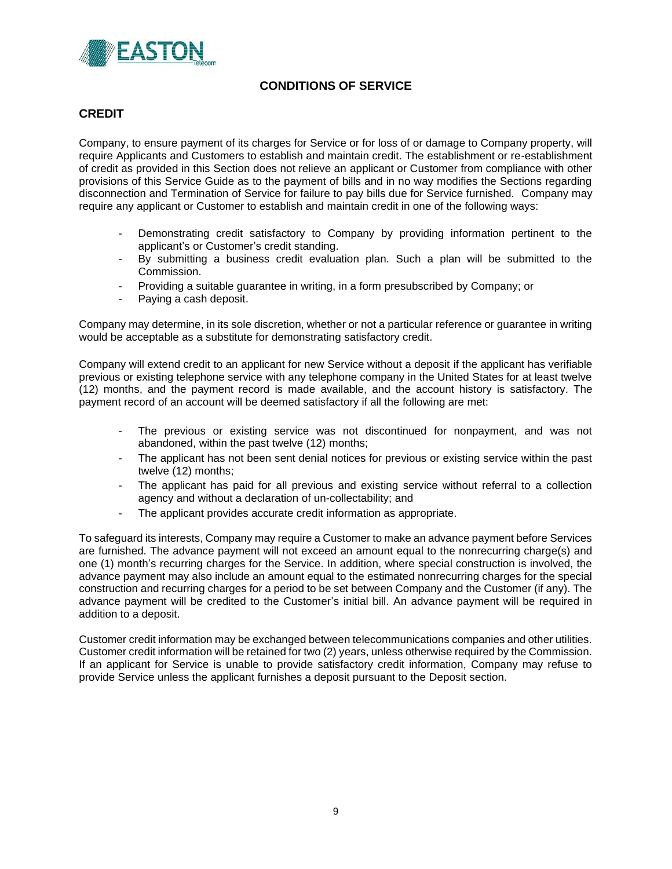

## **CREDIT**

Company, to ensure payment of its charges for Service or for loss of or damage to Company property, will require Applicants and Customers to establish and maintain credit. The establishment or re-establishment of credit as provided in this Section does not relieve an applicant or Customer from compliance with other provisions of this Service Guide as to the payment of bills and in no way modifies the Sections regarding disconnection and Termination of Service for failure to pay bills due for Service furnished. Company may require any applicant or Customer to establish and maintain credit in one of the following ways:

- Demonstrating credit satisfactory to Company by providing information pertinent to the applicant's or Customer's credit standing.
- By submitting a business credit evaluation plan. Such a plan will be submitted to the Commission.
- Providing a suitable guarantee in writing, in a form presubscribed by Company; or
- Paying a cash deposit.

Company may determine, in its sole discretion, whether or not a particular reference or guarantee in writing would be acceptable as a substitute for demonstrating satisfactory credit.

Company will extend credit to an applicant for new Service without a deposit if the applicant has verifiable previous or existing telephone service with any telephone company in the United States for at least twelve (12) months, and the payment record is made available, and the account history is satisfactory. The payment record of an account will be deemed satisfactory if all the following are met:

- The previous or existing service was not discontinued for nonpayment, and was not abandoned, within the past twelve (12) months;
- The applicant has not been sent denial notices for previous or existing service within the past twelve (12) months;
- The applicant has paid for all previous and existing service without referral to a collection agency and without a declaration of un-collectability; and
- The applicant provides accurate credit information as appropriate.

To safeguard its interests, Company may require a Customer to make an advance payment before Services are furnished. The advance payment will not exceed an amount equal to the nonrecurring charge(s) and one (1) month's recurring charges for the Service. In addition, where special construction is involved, the advance payment may also include an amount equal to the estimated nonrecurring charges for the special construction and recurring charges for a period to be set between Company and the Customer (if any). The advance payment will be credited to the Customer's initial bill. An advance payment will be required in addition to a deposit.

Customer credit information may be exchanged between telecommunications companies and other utilities. Customer credit information will be retained for two (2) years, unless otherwise required by the Commission. If an applicant for Service is unable to provide satisfactory credit information, Company may refuse to provide Service unless the applicant furnishes a deposit pursuant to the Deposit section.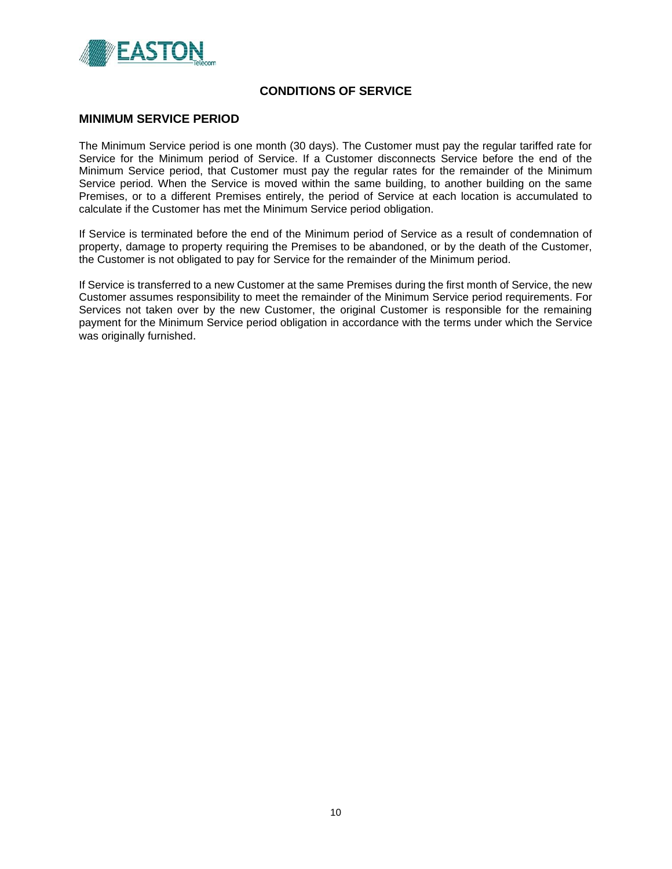

#### **MINIMUM SERVICE PERIOD**

The Minimum Service period is one month (30 days). The Customer must pay the regular tariffed rate for Service for the Minimum period of Service. If a Customer disconnects Service before the end of the Minimum Service period, that Customer must pay the regular rates for the remainder of the Minimum Service period. When the Service is moved within the same building, to another building on the same Premises, or to a different Premises entirely, the period of Service at each location is accumulated to calculate if the Customer has met the Minimum Service period obligation.

If Service is terminated before the end of the Minimum period of Service as a result of condemnation of property, damage to property requiring the Premises to be abandoned, or by the death of the Customer, the Customer is not obligated to pay for Service for the remainder of the Minimum period.

If Service is transferred to a new Customer at the same Premises during the first month of Service, the new Customer assumes responsibility to meet the remainder of the Minimum Service period requirements. For Services not taken over by the new Customer, the original Customer is responsible for the remaining payment for the Minimum Service period obligation in accordance with the terms under which the Service was originally furnished.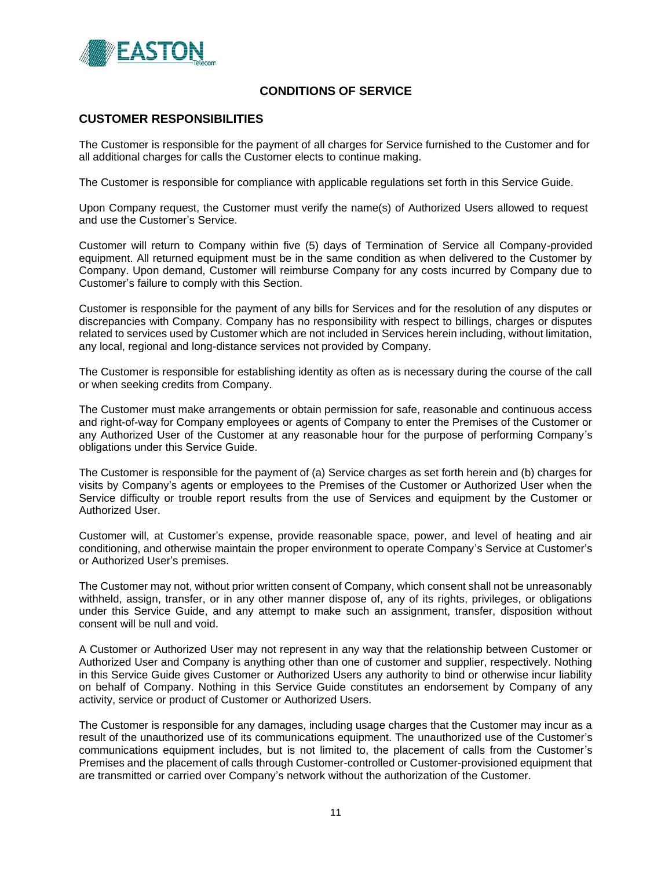

### **CUSTOMER RESPONSIBILITIES**

The Customer is responsible for the payment of all charges for Service furnished to the Customer and for all additional charges for calls the Customer elects to continue making.

The Customer is responsible for compliance with applicable regulations set forth in this Service Guide.

Upon Company request, the Customer must verify the name(s) of Authorized Users allowed to request and use the Customer's Service.

Customer will return to Company within five (5) days of Termination of Service all Company-provided equipment. All returned equipment must be in the same condition as when delivered to the Customer by Company. Upon demand, Customer will reimburse Company for any costs incurred by Company due to Customer's failure to comply with this Section.

Customer is responsible for the payment of any bills for Services and for the resolution of any disputes or discrepancies with Company. Company has no responsibility with respect to billings, charges or disputes related to services used by Customer which are not included in Services herein including, without limitation, any local, regional and long-distance services not provided by Company.

The Customer is responsible for establishing identity as often as is necessary during the course of the call or when seeking credits from Company.

The Customer must make arrangements or obtain permission for safe, reasonable and continuous access and right-of-way for Company employees or agents of Company to enter the Premises of the Customer or any Authorized User of the Customer at any reasonable hour for the purpose of performing Company's obligations under this Service Guide.

The Customer is responsible for the payment of (a) Service charges as set forth herein and (b) charges for visits by Company's agents or employees to the Premises of the Customer or Authorized User when the Service difficulty or trouble report results from the use of Services and equipment by the Customer or Authorized User.

Customer will, at Customer's expense, provide reasonable space, power, and level of heating and air conditioning, and otherwise maintain the proper environment to operate Company's Service at Customer's or Authorized User's premises.

The Customer may not, without prior written consent of Company, which consent shall not be unreasonably withheld, assign, transfer, or in any other manner dispose of, any of its rights, privileges, or obligations under this Service Guide, and any attempt to make such an assignment, transfer, disposition without consent will be null and void.

A Customer or Authorized User may not represent in any way that the relationship between Customer or Authorized User and Company is anything other than one of customer and supplier, respectively. Nothing in this Service Guide gives Customer or Authorized Users any authority to bind or otherwise incur liability on behalf of Company. Nothing in this Service Guide constitutes an endorsement by Company of any activity, service or product of Customer or Authorized Users.

The Customer is responsible for any damages, including usage charges that the Customer may incur as a result of the unauthorized use of its communications equipment. The unauthorized use of the Customer's communications equipment includes, but is not limited to, the placement of calls from the Customer's Premises and the placement of calls through Customer-controlled or Customer-provisioned equipment that are transmitted or carried over Company's network without the authorization of the Customer.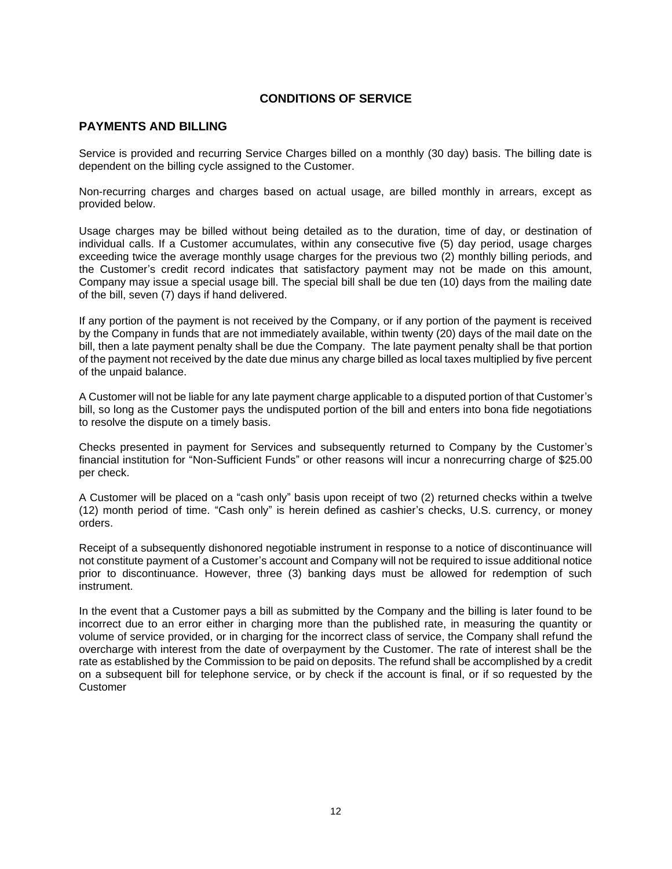## **PAYMENTS AND BILLING**

Service is provided and recurring Service Charges billed on a monthly (30 day) basis. The billing date is dependent on the billing cycle assigned to the Customer.

Non-recurring charges and charges based on actual usage, are billed monthly in arrears, except as provided below.

Usage charges may be billed without being detailed as to the duration, time of day, or destination of individual calls. If a Customer accumulates, within any consecutive five (5) day period, usage charges exceeding twice the average monthly usage charges for the previous two (2) monthly billing periods, and the Customer's credit record indicates that satisfactory payment may not be made on this amount, Company may issue a special usage bill. The special bill shall be due ten (10) days from the mailing date of the bill, seven (7) days if hand delivered.

If any portion of the payment is not received by the Company, or if any portion of the payment is received by the Company in funds that are not immediately available, within twenty (20) days of the mail date on the bill, then a late payment penalty shall be due the Company. The late payment penalty shall be that portion of the payment not received by the date due minus any charge billed as local taxes multiplied by five percent of the unpaid balance.

A Customer will not be liable for any late payment charge applicable to a disputed portion of that Customer's bill, so long as the Customer pays the undisputed portion of the bill and enters into bona fide negotiations to resolve the dispute on a timely basis.

Checks presented in payment for Services and subsequently returned to Company by the Customer's financial institution for "Non-Sufficient Funds" or other reasons will incur a nonrecurring charge of \$25.00 per check.

A Customer will be placed on a "cash only" basis upon receipt of two (2) returned checks within a twelve (12) month period of time. "Cash only" is herein defined as cashier's checks, U.S. currency, or money orders.

Receipt of a subsequently dishonored negotiable instrument in response to a notice of discontinuance will not constitute payment of a Customer's account and Company will not be required to issue additional notice prior to discontinuance. However, three (3) banking days must be allowed for redemption of such instrument.

In the event that a Customer pays a bill as submitted by the Company and the billing is later found to be incorrect due to an error either in charging more than the published rate, in measuring the quantity or volume of service provided, or in charging for the incorrect class of service, the Company shall refund the overcharge with interest from the date of overpayment by the Customer. The rate of interest shall be the rate as established by the Commission to be paid on deposits. The refund shall be accomplished by a credit on a subsequent bill for telephone service, or by check if the account is final, or if so requested by the Customer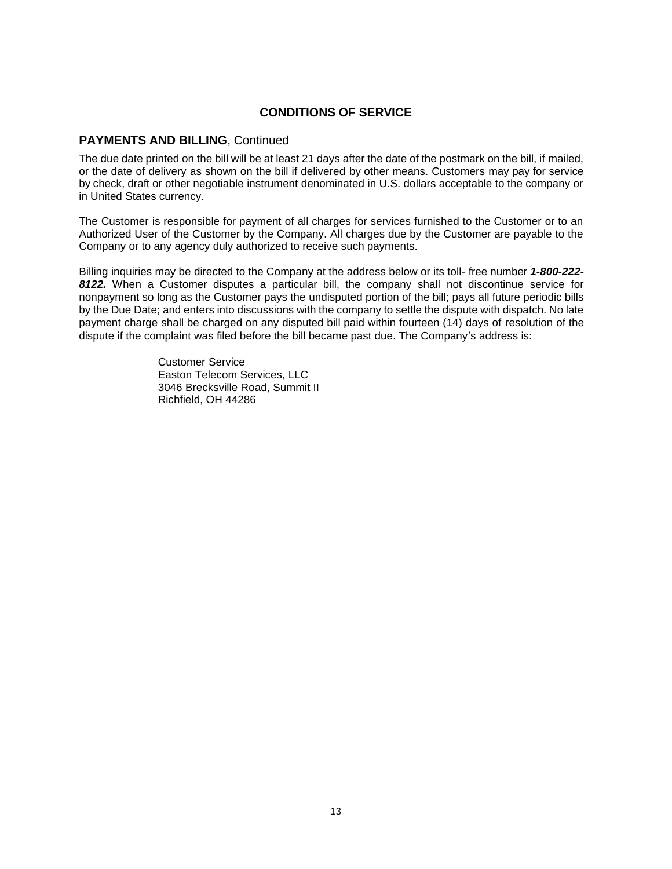## **PAYMENTS AND BILLING**, Continued

The due date printed on the bill will be at least 21 days after the date of the postmark on the bill, if mailed, or the date of delivery as shown on the bill if delivered by other means. Customers may pay for service by check, draft or other negotiable instrument denominated in U.S. dollars acceptable to the company or in United States currency.

The Customer is responsible for payment of all charges for services furnished to the Customer or to an Authorized User of the Customer by the Company. All charges due by the Customer are payable to the Company or to any agency duly authorized to receive such payments.

Billing inquiries may be directed to the Company at the address below or its toll- free number *1-800-222- 8122.* When a Customer disputes a particular bill, the company shall not discontinue service for nonpayment so long as the Customer pays the undisputed portion of the bill; pays all future periodic bills by the Due Date; and enters into discussions with the company to settle the dispute with dispatch. No late payment charge shall be charged on any disputed bill paid within fourteen (14) days of resolution of the dispute if the complaint was filed before the bill became past due. The Company's address is:

> Customer Service Easton Telecom Services, LLC 3046 Brecksville Road, Summit II Richfield, OH 44286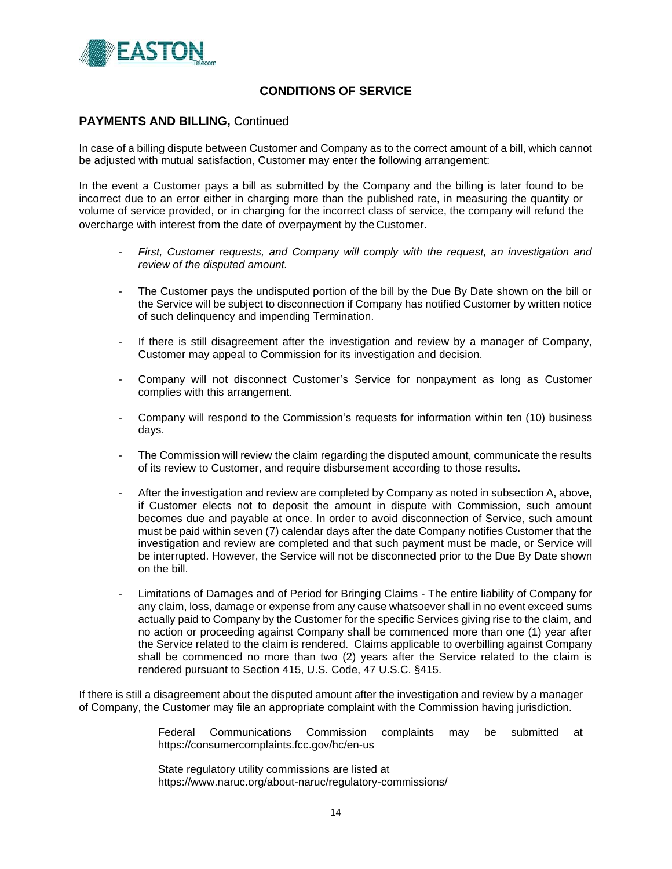

### **PAYMENTS AND BILLING, Continued**

In case of a billing dispute between Customer and Company as to the correct amount of a bill, which cannot be adjusted with mutual satisfaction, Customer may enter the following arrangement:

In the event a Customer pays a bill as submitted by the Company and the billing is later found to be incorrect due to an error either in charging more than the published rate, in measuring the quantity or volume of service provided, or in charging for the incorrect class of service, the company will refund the overcharge with interest from the date of overpayment by the Customer.

- First, Customer requests, and Company will comply with the request, an investigation and *review of the disputed amount.*
- The Customer pays the undisputed portion of the bill by the Due By Date shown on the bill or the Service will be subject to disconnection if Company has notified Customer by written notice of such delinquency and impending Termination.
- If there is still disagreement after the investigation and review by a manager of Company, Customer may appeal to Commission for its investigation and decision.
- Company will not disconnect Customer's Service for nonpayment as long as Customer complies with this arrangement.
- Company will respond to the Commission's requests for information within ten (10) business days.
- The Commission will review the claim regarding the disputed amount, communicate the results of its review to Customer, and require disbursement according to those results.
- After the investigation and review are completed by Company as noted in subsection A, above, if Customer elects not to deposit the amount in dispute with Commission, such amount becomes due and payable at once. In order to avoid disconnection of Service, such amount must be paid within seven (7) calendar days after the date Company notifies Customer that the investigation and review are completed and that such payment must be made, or Service will be interrupted. However, the Service will not be disconnected prior to the Due By Date shown on the bill.
- Limitations of Damages and of Period for Bringing Claims The entire liability of Company for any claim, loss, damage or expense from any cause whatsoever shall in no event exceed sums actually paid to Company by the Customer for the specific Services giving rise to the claim, and no action or proceeding against Company shall be commenced more than one (1) year after the Service related to the claim is rendered. Claims applicable to overbilling against Company shall be commenced no more than two (2) years after the Service related to the claim is rendered pursuant to Section 415, U.S. Code, 47 U.S.C. §415.

If there is still a disagreement about the disputed amount after the investigation and review by a manager of Company, the Customer may file an appropriate complaint with the Commission having jurisdiction.

> Federal Communications Commission complaints may be submitted at https://consumercomplaints.fcc.gov/hc/en-us

State regulatory utility commissions are listed at https://www.naruc.org/about-naruc/regulatory-commissions/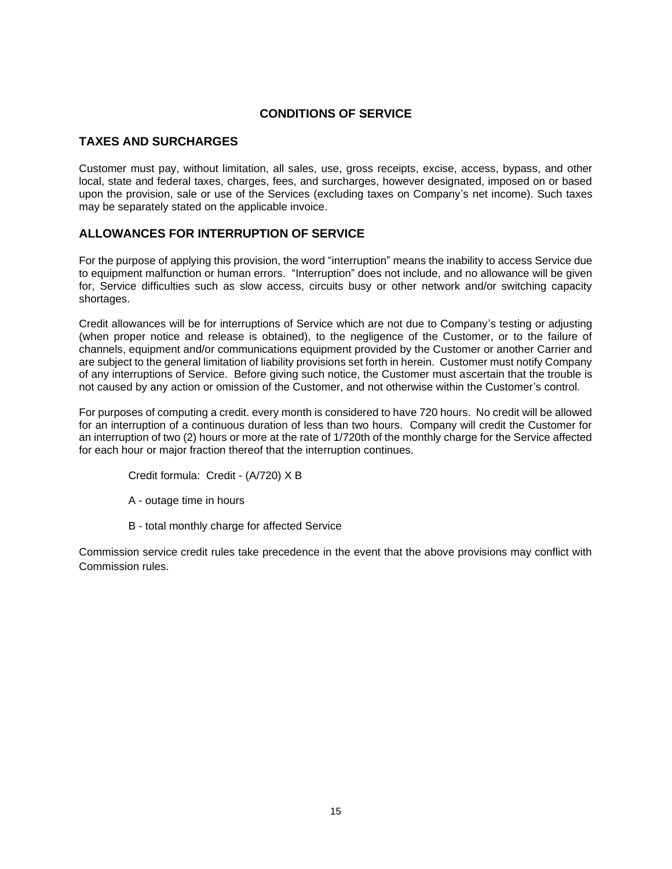# **TAXES AND SURCHARGES**

Customer must pay, without limitation, all sales, use, gross receipts, excise, access, bypass, and other local, state and federal taxes, charges, fees, and surcharges, however designated, imposed on or based upon the provision, sale or use of the Services (excluding taxes on Company's net income). Such taxes may be separately stated on the applicable invoice.

## **ALLOWANCES FOR INTERRUPTION OF SERVICE**

For the purpose of applying this provision, the word "interruption" means the inability to access Service due to equipment malfunction or human errors. "Interruption" does not include, and no allowance will be given for, Service difficulties such as slow access, circuits busy or other network and/or switching capacity shortages.

Credit allowances will be for interruptions of Service which are not due to Company's testing or adjusting (when proper notice and release is obtained), to the negligence of the Customer, or to the failure of channels, equipment and/or communications equipment provided by the Customer or another Carrier and are subject to the general limitation of liability provisions set forth in herein. Customer must notify Company of any interruptions of Service. Before giving such notice, the Customer must ascertain that the trouble is not caused by any action or omission of the Customer, and not otherwise within the Customer's control.

For purposes of computing a credit. every month is considered to have 720 hours. No credit will be allowed for an interruption of a continuous duration of less than two hours. Company will credit the Customer for an interruption of two (2) hours or more at the rate of 1/720th of the monthly charge for the Service affected for each hour or major fraction thereof that the interruption continues.

Credit formula: Credit - (A/720) X B

- A outage time in hours
- B total monthly charge for affected Service

Commission service credit rules take precedence in the event that the above provisions may conflict with Commission rules.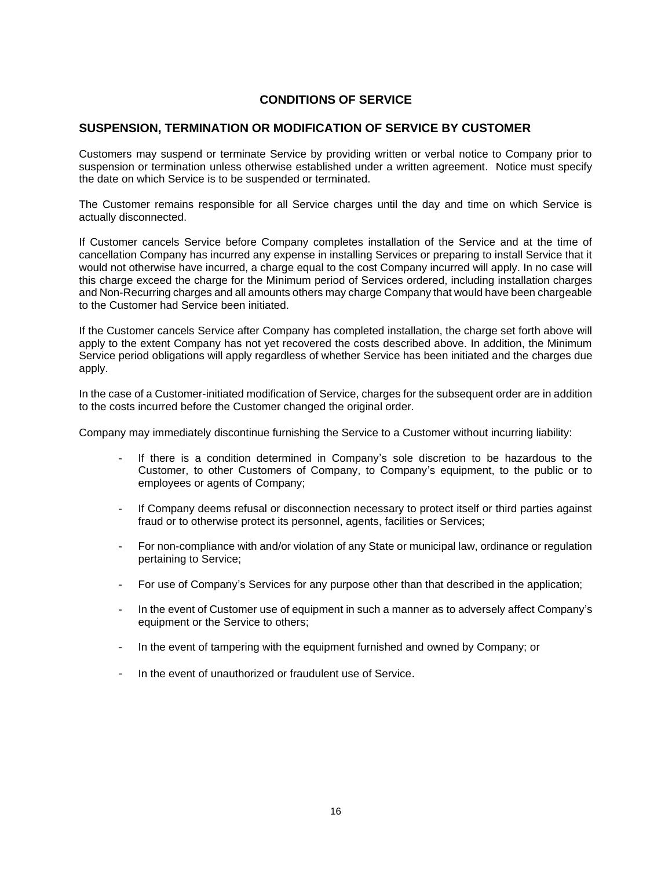#### **SUSPENSION, TERMINATION OR MODIFICATION OF SERVICE BY CUSTOMER**

Customers may suspend or terminate Service by providing written or verbal notice to Company prior to suspension or termination unless otherwise established under a written agreement. Notice must specify the date on which Service is to be suspended or terminated.

The Customer remains responsible for all Service charges until the day and time on which Service is actually disconnected.

If Customer cancels Service before Company completes installation of the Service and at the time of cancellation Company has incurred any expense in installing Services or preparing to install Service that it would not otherwise have incurred, a charge equal to the cost Company incurred will apply. In no case will this charge exceed the charge for the Minimum period of Services ordered, including installation charges and Non-Recurring charges and all amounts others may charge Company that would have been chargeable to the Customer had Service been initiated.

If the Customer cancels Service after Company has completed installation, the charge set forth above will apply to the extent Company has not yet recovered the costs described above. In addition, the Minimum Service period obligations will apply regardless of whether Service has been initiated and the charges due apply.

In the case of a Customer-initiated modification of Service, charges for the subsequent order are in addition to the costs incurred before the Customer changed the original order.

Company may immediately discontinue furnishing the Service to a Customer without incurring liability:

- If there is a condition determined in Company's sole discretion to be hazardous to the Customer, to other Customers of Company, to Company's equipment, to the public or to employees or agents of Company;
- If Company deems refusal or disconnection necessary to protect itself or third parties against fraud or to otherwise protect its personnel, agents, facilities or Services;
- For non-compliance with and/or violation of any State or municipal law, ordinance or regulation pertaining to Service;
- For use of Company's Services for any purpose other than that described in the application;
- In the event of Customer use of equipment in such a manner as to adversely affect Company's equipment or the Service to others;
- In the event of tampering with the equipment furnished and owned by Company; or
- In the event of unauthorized or fraudulent use of Service.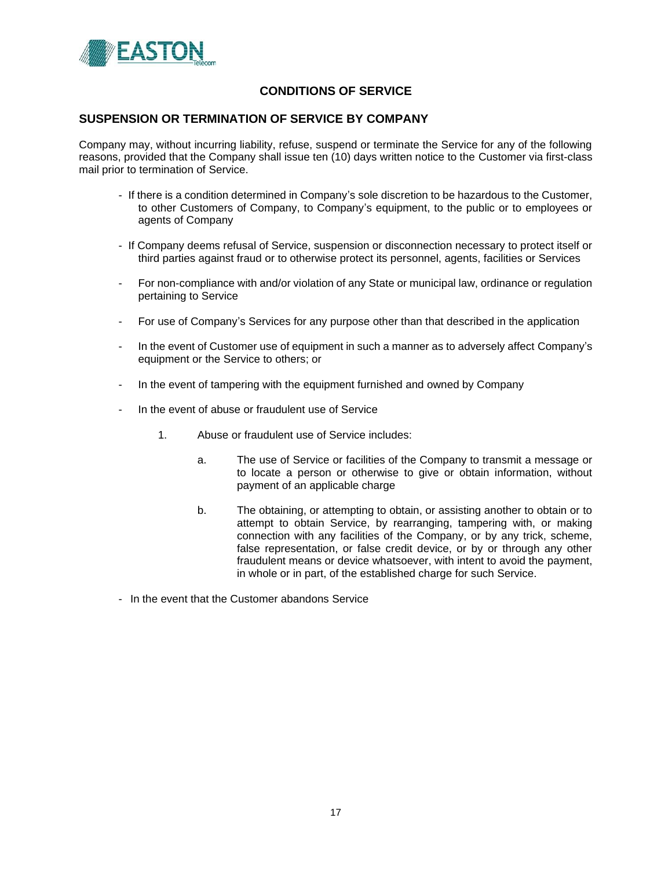

# **SUSPENSION OR TERMINATION OF SERVICE BY COMPANY**

Company may, without incurring liability, refuse, suspend or terminate the Service for any of the following reasons, provided that the Company shall issue ten (10) days written notice to the Customer via first-class mail prior to termination of Service.

- If there is a condition determined in Company's sole discretion to be hazardous to the Customer, to other Customers of Company, to Company's equipment, to the public or to employees or agents of Company
- If Company deems refusal of Service, suspension or disconnection necessary to protect itself or third parties against fraud or to otherwise protect its personnel, agents, facilities or Services
- For non-compliance with and/or violation of any State or municipal law, ordinance or regulation pertaining to Service
- For use of Company's Services for any purpose other than that described in the application
- In the event of Customer use of equipment in such a manner as to adversely affect Company's equipment or the Service to others; or
- In the event of tampering with the equipment furnished and owned by Company
- In the event of abuse or fraudulent use of Service
	- 1. Abuse or fraudulent use of Service includes:
		- a. The use of Service or facilities of the Company to transmit a message or to locate a person or otherwise to give or obtain information, without payment of an applicable charge
		- b. The obtaining, or attempting to obtain, or assisting another to obtain or to attempt to obtain Service, by rearranging, tampering with, or making connection with any facilities of the Company, or by any trick, scheme, false representation, or false credit device, or by or through any other fraudulent means or device whatsoever, with intent to avoid the payment, in whole or in part, of the established charge for such Service.
- In the event that the Customer abandons Service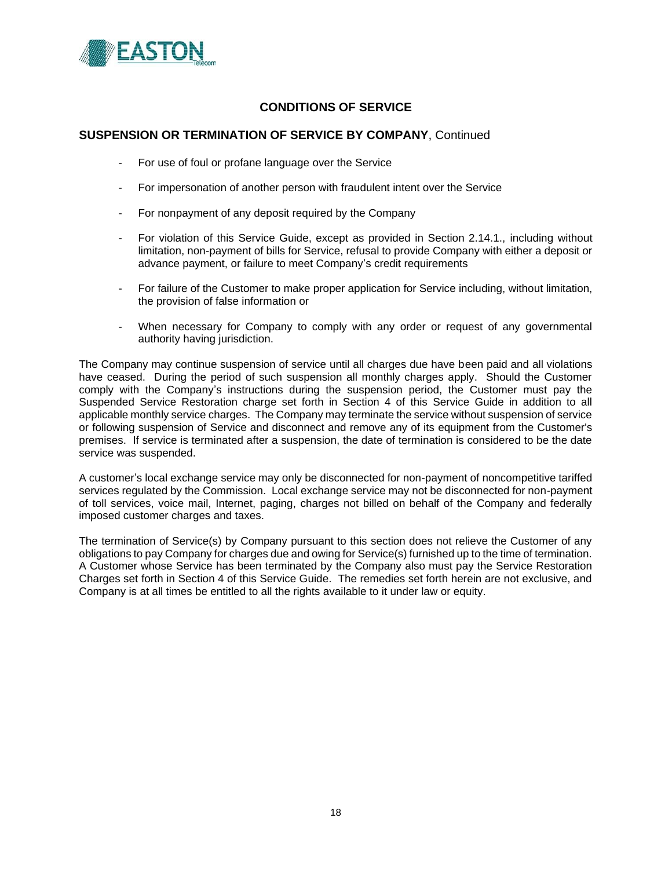

## **SUSPENSION OR TERMINATION OF SERVICE BY COMPANY**, Continued

- For use of foul or profane language over the Service
- For impersonation of another person with fraudulent intent over the Service
- For nonpayment of any deposit required by the Company
- For violation of this Service Guide, except as provided in Section 2.14.1., including without limitation, non-payment of bills for Service, refusal to provide Company with either a deposit or advance payment, or failure to meet Company's credit requirements
- For failure of the Customer to make proper application for Service including, without limitation, the provision of false information or
- When necessary for Company to comply with any order or request of any governmental authority having jurisdiction.

The Company may continue suspension of service until all charges due have been paid and all violations have ceased. During the period of such suspension all monthly charges apply. Should the Customer comply with the Company's instructions during the suspension period, the Customer must pay the Suspended Service Restoration charge set forth in Section 4 of this Service Guide in addition to all applicable monthly service charges. The Company may terminate the service without suspension of service or following suspension of Service and disconnect and remove any of its equipment from the Customer's premises. If service is terminated after a suspension, the date of termination is considered to be the date service was suspended.

A customer's local exchange service may only be disconnected for non-payment of noncompetitive tariffed services regulated by the Commission. Local exchange service may not be disconnected for non-payment of toll services, voice mail, Internet, paging, charges not billed on behalf of the Company and federally imposed customer charges and taxes.

The termination of Service(s) by Company pursuant to this section does not relieve the Customer of any obligations to pay Company for charges due and owing for Service(s) furnished up to the time of termination. A Customer whose Service has been terminated by the Company also must pay the Service Restoration Charges set forth in Section 4 of this Service Guide. The remedies set forth herein are not exclusive, and Company is at all times be entitled to all the rights available to it under law or equity.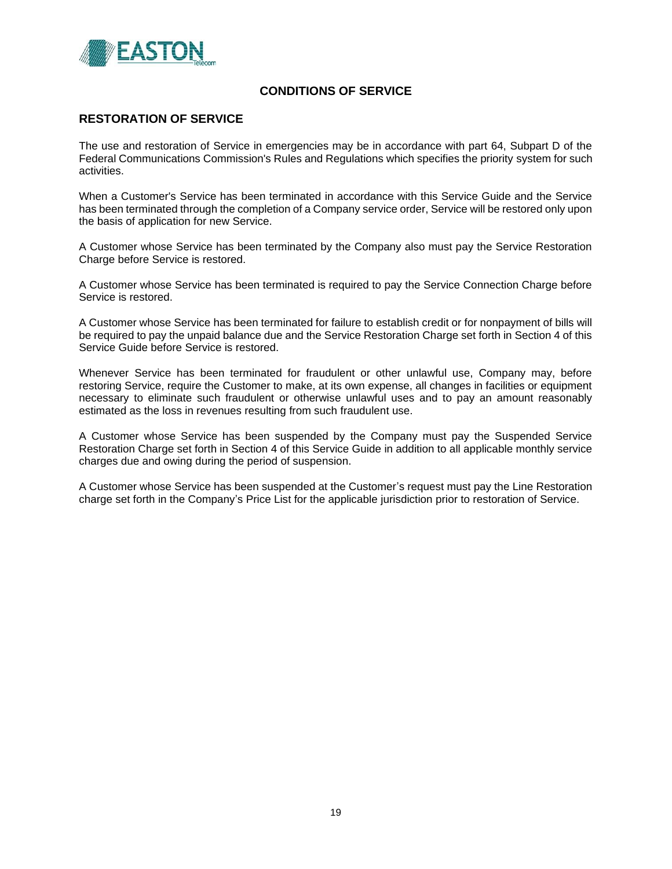

### **RESTORATION OF SERVICE**

The use and restoration of Service in emergencies may be in accordance with part 64, Subpart D of the Federal Communications Commission's Rules and Regulations which specifies the priority system for such activities.

When a Customer's Service has been terminated in accordance with this Service Guide and the Service has been terminated through the completion of a Company service order, Service will be restored only upon the basis of application for new Service.

A Customer whose Service has been terminated by the Company also must pay the Service Restoration Charge before Service is restored.

A Customer whose Service has been terminated is required to pay the Service Connection Charge before Service is restored.

A Customer whose Service has been terminated for failure to establish credit or for nonpayment of bills will be required to pay the unpaid balance due and the Service Restoration Charge set forth in Section 4 of this Service Guide before Service is restored.

Whenever Service has been terminated for fraudulent or other unlawful use, Company may, before restoring Service, require the Customer to make, at its own expense, all changes in facilities or equipment necessary to eliminate such fraudulent or otherwise unlawful uses and to pay an amount reasonably estimated as the loss in revenues resulting from such fraudulent use.

A Customer whose Service has been suspended by the Company must pay the Suspended Service Restoration Charge set forth in Section 4 of this Service Guide in addition to all applicable monthly service charges due and owing during the period of suspension.

A Customer whose Service has been suspended at the Customer's request must pay the Line Restoration charge set forth in the Company's Price List for the applicable jurisdiction prior to restoration of Service.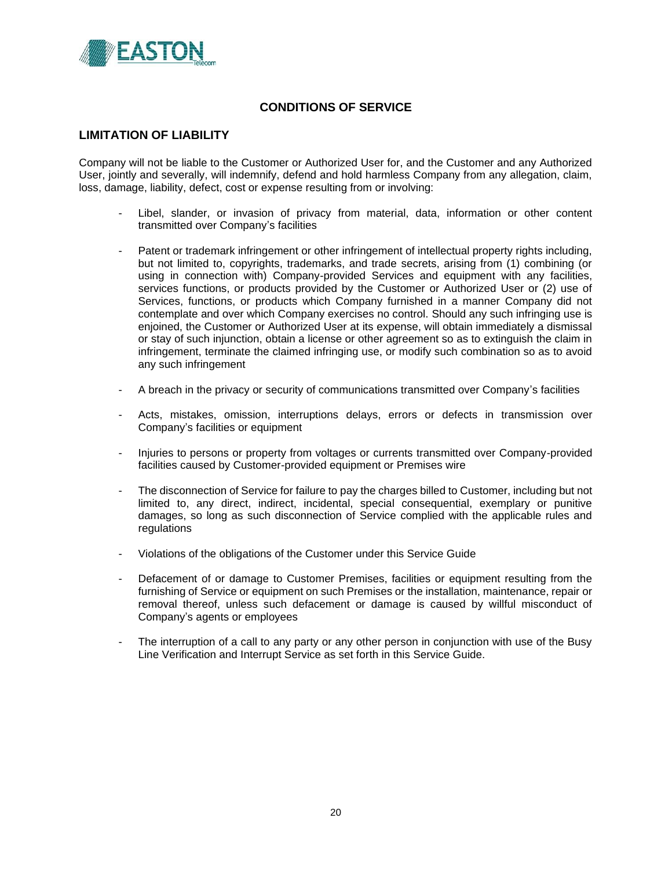

### **LIMITATION OF LIABILITY**

Company will not be liable to the Customer or Authorized User for, and the Customer and any Authorized User, jointly and severally, will indemnify, defend and hold harmless Company from any allegation, claim, loss, damage, liability, defect, cost or expense resulting from or involving:

- Libel, slander, or invasion of privacy from material, data, information or other content transmitted over Company's facilities
- Patent or trademark infringement or other infringement of intellectual property rights including, but not limited to, copyrights, trademarks, and trade secrets, arising from (1) combining (or using in connection with) Company-provided Services and equipment with any facilities, services functions, or products provided by the Customer or Authorized User or (2) use of Services, functions, or products which Company furnished in a manner Company did not contemplate and over which Company exercises no control. Should any such infringing use is enjoined, the Customer or Authorized User at its expense, will obtain immediately a dismissal or stay of such injunction, obtain a license or other agreement so as to extinguish the claim in infringement, terminate the claimed infringing use, or modify such combination so as to avoid any such infringement
- A breach in the privacy or security of communications transmitted over Company's facilities
- Acts, mistakes, omission, interruptions delays, errors or defects in transmission over Company's facilities or equipment
- Injuries to persons or property from voltages or currents transmitted over Company-provided facilities caused by Customer-provided equipment or Premises wire
- The disconnection of Service for failure to pay the charges billed to Customer, including but not limited to, any direct, indirect, incidental, special consequential, exemplary or punitive damages, so long as such disconnection of Service complied with the applicable rules and regulations
- Violations of the obligations of the Customer under this Service Guide
- Defacement of or damage to Customer Premises, facilities or equipment resulting from the furnishing of Service or equipment on such Premises or the installation, maintenance, repair or removal thereof, unless such defacement or damage is caused by willful misconduct of Company's agents or employees
- The interruption of a call to any party or any other person in conjunction with use of the Busy Line Verification and Interrupt Service as set forth in this Service Guide.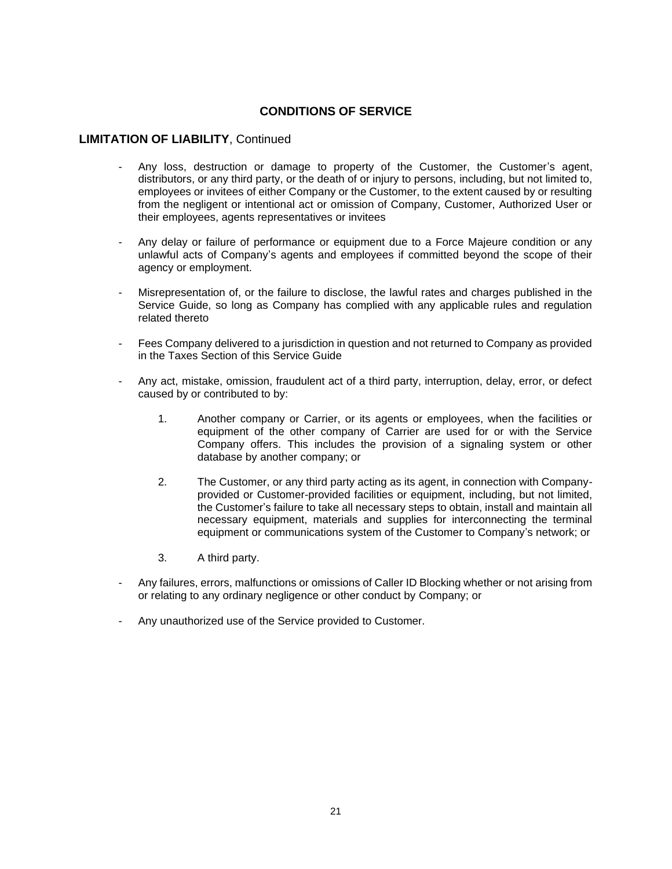#### **LIMITATION OF LIABILITY**, Continued

- Any loss, destruction or damage to property of the Customer, the Customer's agent, distributors, or any third party, or the death of or injury to persons, including, but not limited to, employees or invitees of either Company or the Customer, to the extent caused by or resulting from the negligent or intentional act or omission of Company, Customer, Authorized User or their employees, agents representatives or invitees
- Any delay or failure of performance or equipment due to a Force Majeure condition or any unlawful acts of Company's agents and employees if committed beyond the scope of their agency or employment.
- Misrepresentation of, or the failure to disclose, the lawful rates and charges published in the Service Guide, so long as Company has complied with any applicable rules and regulation related thereto
- Fees Company delivered to a jurisdiction in question and not returned to Company as provided in the Taxes Section of this Service Guide
- Any act, mistake, omission, fraudulent act of a third party, interruption, delay, error, or defect caused by or contributed to by:
	- 1. Another company or Carrier, or its agents or employees, when the facilities or equipment of the other company of Carrier are used for or with the Service Company offers. This includes the provision of a signaling system or other database by another company; or
	- 2. The Customer, or any third party acting as its agent, in connection with Companyprovided or Customer-provided facilities or equipment, including, but not limited, the Customer's failure to take all necessary steps to obtain, install and maintain all necessary equipment, materials and supplies for interconnecting the terminal equipment or communications system of the Customer to Company's network; or
	- 3. A third party.
- Any failures, errors, malfunctions or omissions of Caller ID Blocking whether or not arising from or relating to any ordinary negligence or other conduct by Company; or
- Any unauthorized use of the Service provided to Customer.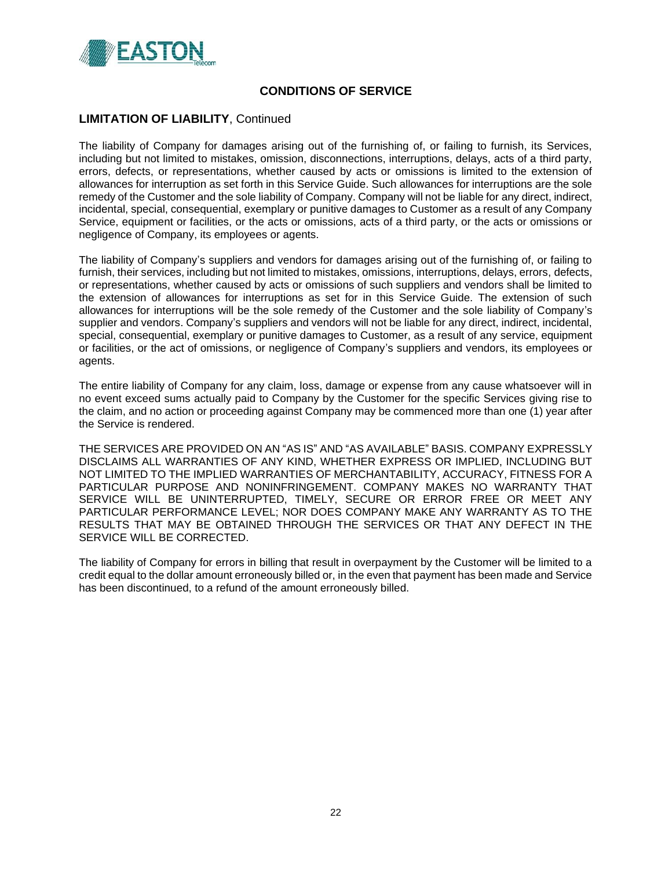

### **LIMITATION OF LIABILITY**, Continued

The liability of Company for damages arising out of the furnishing of, or failing to furnish, its Services, including but not limited to mistakes, omission, disconnections, interruptions, delays, acts of a third party, errors, defects, or representations, whether caused by acts or omissions is limited to the extension of allowances for interruption as set forth in this Service Guide. Such allowances for interruptions are the sole remedy of the Customer and the sole liability of Company. Company will not be liable for any direct, indirect, incidental, special, consequential, exemplary or punitive damages to Customer as a result of any Company Service, equipment or facilities, or the acts or omissions, acts of a third party, or the acts or omissions or negligence of Company, its employees or agents.

The liability of Company's suppliers and vendors for damages arising out of the furnishing of, or failing to furnish, their services, including but not limited to mistakes, omissions, interruptions, delays, errors, defects, or representations, whether caused by acts or omissions of such suppliers and vendors shall be limited to the extension of allowances for interruptions as set for in this Service Guide. The extension of such allowances for interruptions will be the sole remedy of the Customer and the sole liability of Company's supplier and vendors. Company's suppliers and vendors will not be liable for any direct, indirect, incidental, special, consequential, exemplary or punitive damages to Customer, as a result of any service, equipment or facilities, or the act of omissions, or negligence of Company's suppliers and vendors, its employees or agents.

The entire liability of Company for any claim, loss, damage or expense from any cause whatsoever will in no event exceed sums actually paid to Company by the Customer for the specific Services giving rise to the claim, and no action or proceeding against Company may be commenced more than one (1) year after the Service is rendered.

THE SERVICES ARE PROVIDED ON AN "AS IS" AND "AS AVAILABLE" BASIS. COMPANY EXPRESSLY DISCLAIMS ALL WARRANTIES OF ANY KIND, WHETHER EXPRESS OR IMPLIED, INCLUDING BUT NOT LIMITED TO THE IMPLIED WARRANTIES OF MERCHANTABILITY, ACCURACY, FITNESS FOR A PARTICULAR PURPOSE AND NONINFRINGEMENT. COMPANY MAKES NO WARRANTY THAT SERVICE WILL BE UNINTERRUPTED, TIMELY, SECURE OR ERROR FREE OR MEET ANY PARTICULAR PERFORMANCE LEVEL; NOR DOES COMPANY MAKE ANY WARRANTY AS TO THE RESULTS THAT MAY BE OBTAINED THROUGH THE SERVICES OR THAT ANY DEFECT IN THE SERVICE WILL BE CORRECTED.

The liability of Company for errors in billing that result in overpayment by the Customer will be limited to a credit equal to the dollar amount erroneously billed or, in the even that payment has been made and Service has been discontinued, to a refund of the amount erroneously billed.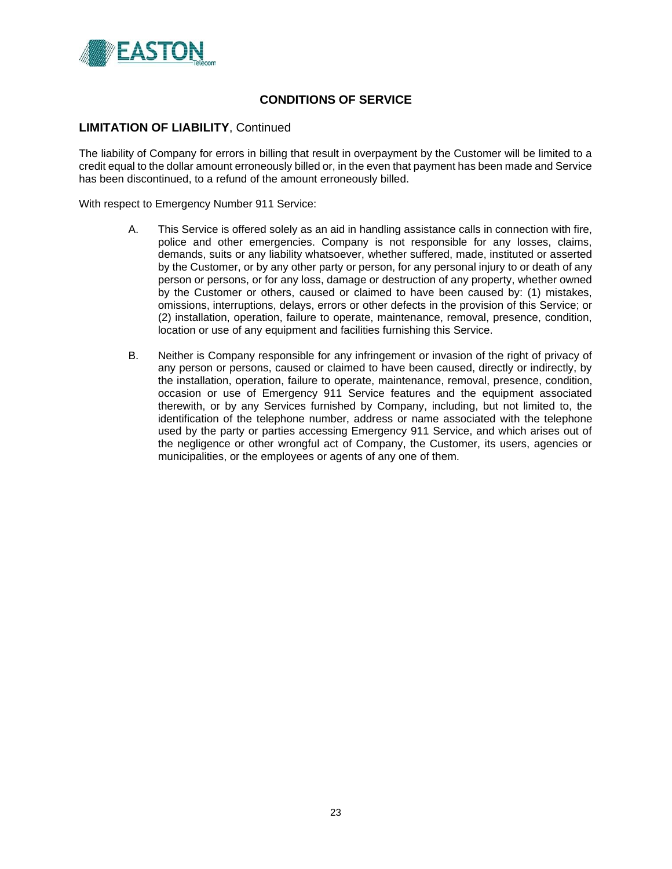

## **LIMITATION OF LIABILITY**, Continued

The liability of Company for errors in billing that result in overpayment by the Customer will be limited to a credit equal to the dollar amount erroneously billed or, in the even that payment has been made and Service has been discontinued, to a refund of the amount erroneously billed.

With respect to Emergency Number 911 Service:

- A. This Service is offered solely as an aid in handling assistance calls in connection with fire, police and other emergencies. Company is not responsible for any losses, claims, demands, suits or any liability whatsoever, whether suffered, made, instituted or asserted by the Customer, or by any other party or person, for any personal injury to or death of any person or persons, or for any loss, damage or destruction of any property, whether owned by the Customer or others, caused or claimed to have been caused by: (1) mistakes, omissions, interruptions, delays, errors or other defects in the provision of this Service; or (2) installation, operation, failure to operate, maintenance, removal, presence, condition, location or use of any equipment and facilities furnishing this Service.
- B. Neither is Company responsible for any infringement or invasion of the right of privacy of any person or persons, caused or claimed to have been caused, directly or indirectly, by the installation, operation, failure to operate, maintenance, removal, presence, condition, occasion or use of Emergency 911 Service features and the equipment associated therewith, or by any Services furnished by Company, including, but not limited to, the identification of the telephone number, address or name associated with the telephone used by the party or parties accessing Emergency 911 Service, and which arises out of the negligence or other wrongful act of Company, the Customer, its users, agencies or municipalities, or the employees or agents of any one of them.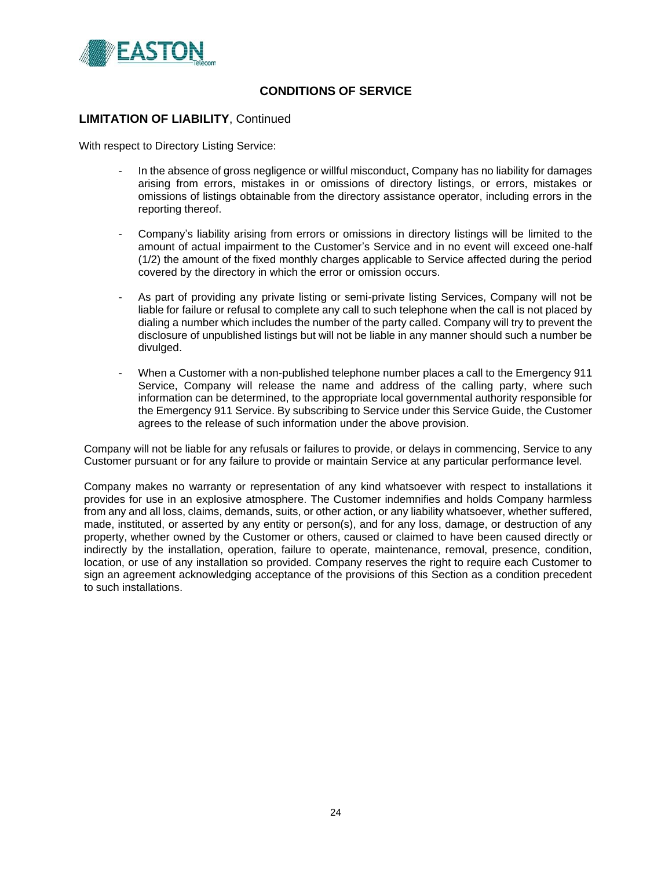

### **LIMITATION OF LIABILITY**, Continued

With respect to Directory Listing Service:

- In the absence of gross negligence or willful misconduct, Company has no liability for damages arising from errors, mistakes in or omissions of directory listings, or errors, mistakes or omissions of listings obtainable from the directory assistance operator, including errors in the reporting thereof.
- Company's liability arising from errors or omissions in directory listings will be limited to the amount of actual impairment to the Customer's Service and in no event will exceed one-half (1/2) the amount of the fixed monthly charges applicable to Service affected during the period covered by the directory in which the error or omission occurs.
- As part of providing any private listing or semi-private listing Services, Company will not be liable for failure or refusal to complete any call to such telephone when the call is not placed by dialing a number which includes the number of the party called. Company will try to prevent the disclosure of unpublished listings but will not be liable in any manner should such a number be divulged.
- When a Customer with a non-published telephone number places a call to the Emergency 911 Service, Company will release the name and address of the calling party, where such information can be determined, to the appropriate local governmental authority responsible for the Emergency 911 Service. By subscribing to Service under this Service Guide, the Customer agrees to the release of such information under the above provision.

Company will not be liable for any refusals or failures to provide, or delays in commencing, Service to any Customer pursuant or for any failure to provide or maintain Service at any particular performance level.

Company makes no warranty or representation of any kind whatsoever with respect to installations it provides for use in an explosive atmosphere. The Customer indemnifies and holds Company harmless from any and all loss, claims, demands, suits, or other action, or any liability whatsoever, whether suffered, made, instituted, or asserted by any entity or person(s), and for any loss, damage, or destruction of any property, whether owned by the Customer or others, caused or claimed to have been caused directly or indirectly by the installation, operation, failure to operate, maintenance, removal, presence, condition, location, or use of any installation so provided. Company reserves the right to require each Customer to sign an agreement acknowledging acceptance of the provisions of this Section as a condition precedent to such installations.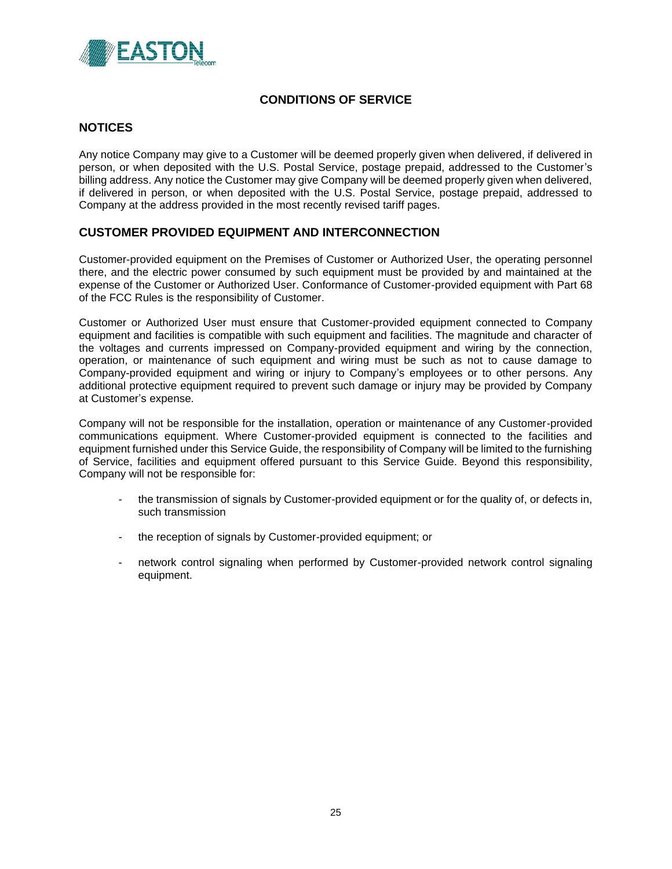

## **NOTICES**

Any notice Company may give to a Customer will be deemed properly given when delivered, if delivered in person, or when deposited with the U.S. Postal Service, postage prepaid, addressed to the Customer's billing address. Any notice the Customer may give Company will be deemed properly given when delivered, if delivered in person, or when deposited with the U.S. Postal Service, postage prepaid, addressed to Company at the address provided in the most recently revised tariff pages.

## **CUSTOMER PROVIDED EQUIPMENT AND INTERCONNECTION**

Customer-provided equipment on the Premises of Customer or Authorized User, the operating personnel there, and the electric power consumed by such equipment must be provided by and maintained at the expense of the Customer or Authorized User. Conformance of Customer-provided equipment with Part 68 of the FCC Rules is the responsibility of Customer.

Customer or Authorized User must ensure that Customer-provided equipment connected to Company equipment and facilities is compatible with such equipment and facilities. The magnitude and character of the voltages and currents impressed on Company-provided equipment and wiring by the connection, operation, or maintenance of such equipment and wiring must be such as not to cause damage to Company-provided equipment and wiring or injury to Company's employees or to other persons. Any additional protective equipment required to prevent such damage or injury may be provided by Company at Customer's expense.

Company will not be responsible for the installation, operation or maintenance of any Customer-provided communications equipment. Where Customer-provided equipment is connected to the facilities and equipment furnished under this Service Guide, the responsibility of Company will be limited to the furnishing of Service, facilities and equipment offered pursuant to this Service Guide. Beyond this responsibility, Company will not be responsible for:

- the transmission of signals by Customer-provided equipment or for the quality of, or defects in, such transmission
- the reception of signals by Customer-provided equipment; or
- network control signaling when performed by Customer-provided network control signaling equipment.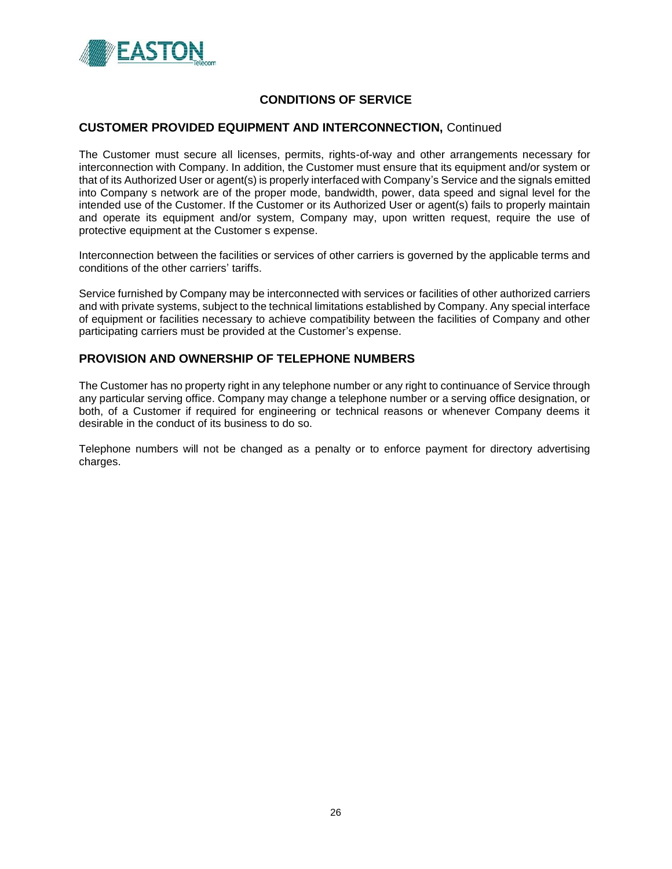

#### **CUSTOMER PROVIDED EQUIPMENT AND INTERCONNECTION,** Continued

The Customer must secure all licenses, permits, rights-of-way and other arrangements necessary for interconnection with Company. In addition, the Customer must ensure that its equipment and/or system or that of its Authorized User or agent(s) is properly interfaced with Company's Service and the signals emitted into Company s network are of the proper mode, bandwidth, power, data speed and signal level for the intended use of the Customer. If the Customer or its Authorized User or agent(s) fails to properly maintain and operate its equipment and/or system, Company may, upon written request, require the use of protective equipment at the Customer s expense.

Interconnection between the facilities or services of other carriers is governed by the applicable terms and conditions of the other carriers' tariffs.

Service furnished by Company may be interconnected with services or facilities of other authorized carriers and with private systems, subject to the technical limitations established by Company. Any special interface of equipment or facilities necessary to achieve compatibility between the facilities of Company and other participating carriers must be provided at the Customer's expense.

## **PROVISION AND OWNERSHIP OF TELEPHONE NUMBERS**

The Customer has no property right in any telephone number or any right to continuance of Service through any particular serving office. Company may change a telephone number or a serving office designation, or both, of a Customer if required for engineering or technical reasons or whenever Company deems it desirable in the conduct of its business to do so.

Telephone numbers will not be changed as a penalty or to enforce payment for directory advertising charges.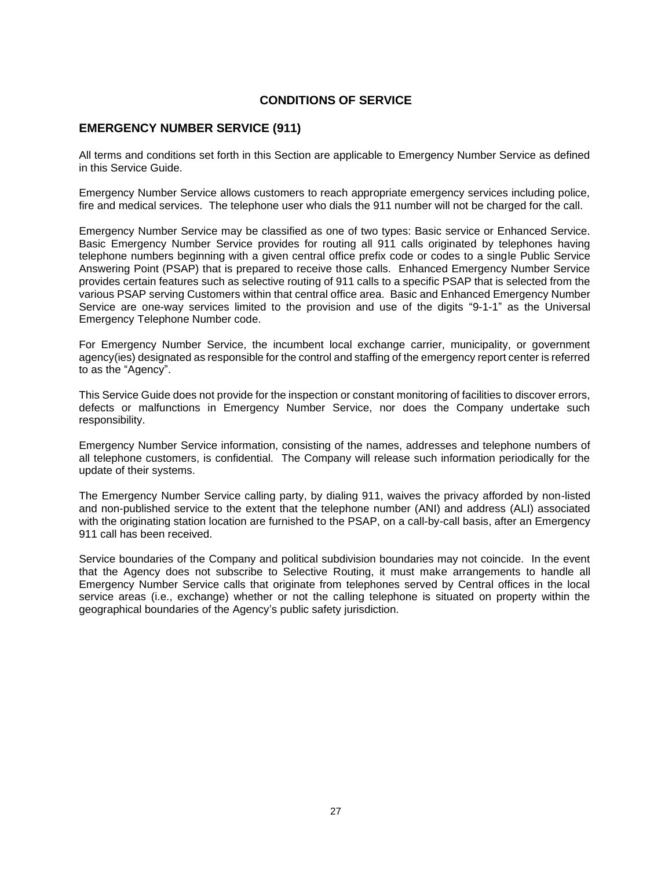## **EMERGENCY NUMBER SERVICE (911)**

All terms and conditions set forth in this Section are applicable to Emergency Number Service as defined in this Service Guide.

Emergency Number Service allows customers to reach appropriate emergency services including police, fire and medical services. The telephone user who dials the 911 number will not be charged for the call.

Emergency Number Service may be classified as one of two types: Basic service or Enhanced Service. Basic Emergency Number Service provides for routing all 911 calls originated by telephones having telephone numbers beginning with a given central office prefix code or codes to a single Public Service Answering Point (PSAP) that is prepared to receive those calls. Enhanced Emergency Number Service provides certain features such as selective routing of 911 calls to a specific PSAP that is selected from the various PSAP serving Customers within that central office area. Basic and Enhanced Emergency Number Service are one-way services limited to the provision and use of the digits "9-1-1" as the Universal Emergency Telephone Number code.

For Emergency Number Service, the incumbent local exchange carrier, municipality, or government agency(ies) designated as responsible for the control and staffing of the emergency report center is referred to as the "Agency".

This Service Guide does not provide for the inspection or constant monitoring of facilities to discover errors, defects or malfunctions in Emergency Number Service, nor does the Company undertake such responsibility.

Emergency Number Service information, consisting of the names, addresses and telephone numbers of all telephone customers, is confidential. The Company will release such information periodically for the update of their systems.

The Emergency Number Service calling party, by dialing 911, waives the privacy afforded by non-listed and non-published service to the extent that the telephone number (ANI) and address (ALI) associated with the originating station location are furnished to the PSAP, on a call-by-call basis, after an Emergency 911 call has been received.

Service boundaries of the Company and political subdivision boundaries may not coincide. In the event that the Agency does not subscribe to Selective Routing, it must make arrangements to handle all Emergency Number Service calls that originate from telephones served by Central offices in the local service areas (i.e., exchange) whether or not the calling telephone is situated on property within the geographical boundaries of the Agency's public safety jurisdiction.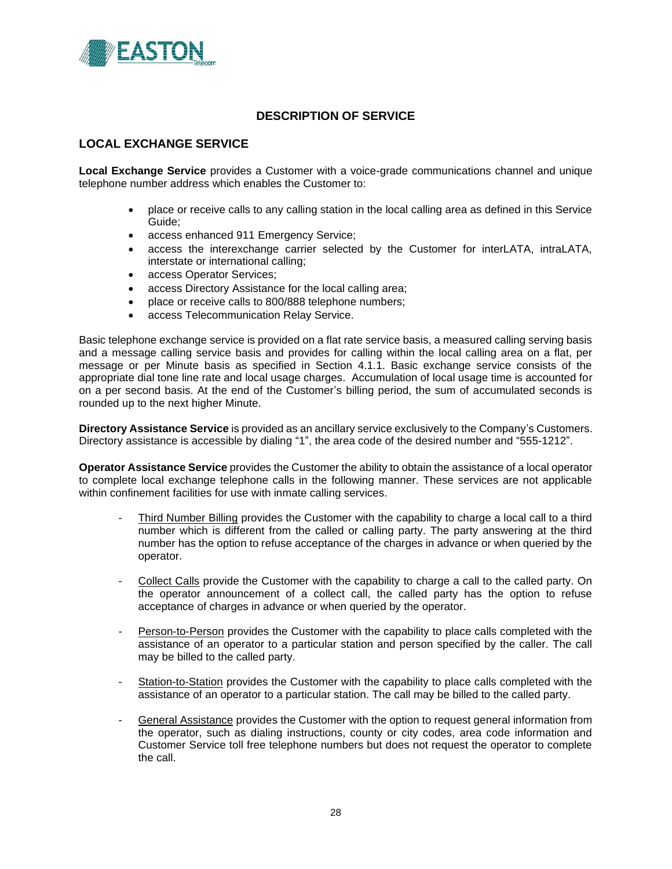

## **LOCAL EXCHANGE SERVICE**

**Local Exchange Service** provides a Customer with a voice-grade communications channel and unique telephone number address which enables the Customer to:

- place or receive calls to any calling station in the local calling area as defined in this Service Guide;
- access enhanced 911 Emergency Service;
- access the interexchange carrier selected by the Customer for interLATA, intraLATA, interstate or international calling;
- access Operator Services;
- access Directory Assistance for the local calling area;
- place or receive calls to 800/888 telephone numbers;
- access Telecommunication Relay Service.

Basic telephone exchange service is provided on a flat rate service basis, a measured calling serving basis and a message calling service basis and provides for calling within the local calling area on a flat, per message or per Minute basis as specified in Section 4.1.1. Basic exchange service consists of the appropriate dial tone line rate and local usage charges. Accumulation of local usage time is accounted for on a per second basis. At the end of the Customer's billing period, the sum of accumulated seconds is rounded up to the next higher Minute.

**Directory Assistance Service** is provided as an ancillary service exclusively to the Company's Customers. Directory assistance is accessible by dialing "1", the area code of the desired number and "555-1212".

**Operator Assistance Service** provides the Customer the ability to obtain the assistance of a local operator to complete local exchange telephone calls in the following manner. These services are not applicable within confinement facilities for use with inmate calling services.

- Third Number Billing provides the Customer with the capability to charge a local call to a third number which is different from the called or calling party. The party answering at the third number has the option to refuse acceptance of the charges in advance or when queried by the operator.
- Collect Calls provide the Customer with the capability to charge a call to the called party. On the operator announcement of a collect call, the called party has the option to refuse acceptance of charges in advance or when queried by the operator.
- Person-to-Person provides the Customer with the capability to place calls completed with the assistance of an operator to a particular station and person specified by the caller. The call may be billed to the called party.
- Station-to-Station provides the Customer with the capability to place calls completed with the assistance of an operator to a particular station. The call may be billed to the called party.
- General Assistance provides the Customer with the option to request general information from the operator, such as dialing instructions, county or city codes, area code information and Customer Service toll free telephone numbers but does not request the operator to complete the call.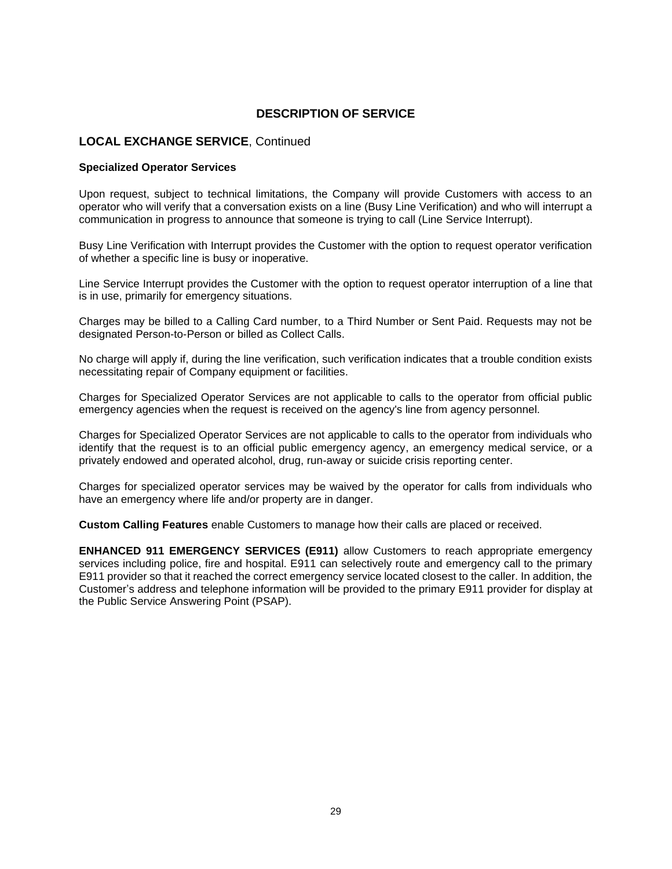### **LOCAL EXCHANGE SERVICE**, Continued

#### **Specialized Operator Services**

Upon request, subject to technical limitations, the Company will provide Customers with access to an operator who will verify that a conversation exists on a line (Busy Line Verification) and who will interrupt a communication in progress to announce that someone is trying to call (Line Service Interrupt).

Busy Line Verification with Interrupt provides the Customer with the option to request operator verification of whether a specific line is busy or inoperative.

Line Service Interrupt provides the Customer with the option to request operator interruption of a line that is in use, primarily for emergency situations.

Charges may be billed to a Calling Card number, to a Third Number or Sent Paid. Requests may not be designated Person-to-Person or billed as Collect Calls.

No charge will apply if, during the line verification, such verification indicates that a trouble condition exists necessitating repair of Company equipment or facilities.

Charges for Specialized Operator Services are not applicable to calls to the operator from official public emergency agencies when the request is received on the agency's line from agency personnel.

Charges for Specialized Operator Services are not applicable to calls to the operator from individuals who identify that the request is to an official public emergency agency, an emergency medical service, or a privately endowed and operated alcohol, drug, run-away or suicide crisis reporting center.

Charges for specialized operator services may be waived by the operator for calls from individuals who have an emergency where life and/or property are in danger.

**Custom Calling Features** enable Customers to manage how their calls are placed or received.

**ENHANCED 911 EMERGENCY SERVICES (E911)** allow Customers to reach appropriate emergency services including police, fire and hospital. E911 can selectively route and emergency call to the primary E911 provider so that it reached the correct emergency service located closest to the caller. In addition, the Customer's address and telephone information will be provided to the primary E911 provider for display at the Public Service Answering Point (PSAP).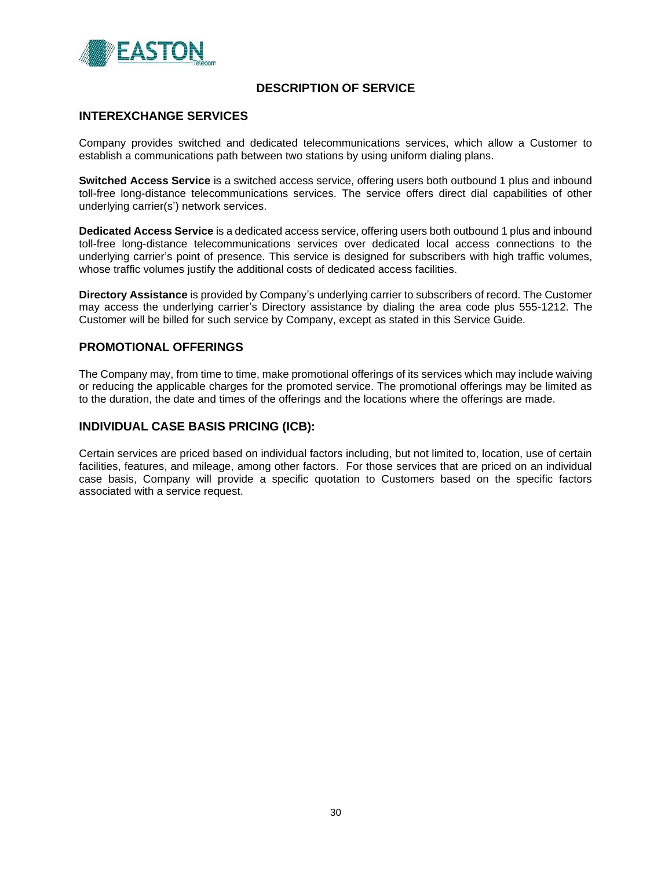

### **INTEREXCHANGE SERVICES**

Company provides switched and dedicated telecommunications services, which allow a Customer to establish a communications path between two stations by using uniform dialing plans.

**Switched Access Service** is a switched access service, offering users both outbound 1 plus and inbound toll-free long-distance telecommunications services. The service offers direct dial capabilities of other underlying carrier(s') network services.

**Dedicated Access Service** is a dedicated access service, offering users both outbound 1 plus and inbound toll-free long-distance telecommunications services over dedicated local access connections to the underlying carrier's point of presence. This service is designed for subscribers with high traffic volumes, whose traffic volumes justify the additional costs of dedicated access facilities.

**Directory Assistance** is provided by Company's underlying carrier to subscribers of record. The Customer may access the underlying carrier's Directory assistance by dialing the area code plus 555-1212. The Customer will be billed for such service by Company, except as stated in this Service Guide.

### **PROMOTIONAL OFFERINGS**

The Company may, from time to time, make promotional offerings of its services which may include waiving or reducing the applicable charges for the promoted service. The promotional offerings may be limited as to the duration, the date and times of the offerings and the locations where the offerings are made.

#### **INDIVIDUAL CASE BASIS PRICING (ICB):**

Certain services are priced based on individual factors including, but not limited to, location, use of certain facilities, features, and mileage, among other factors. For those services that are priced on an individual case basis, Company will provide a specific quotation to Customers based on the specific factors associated with a service request.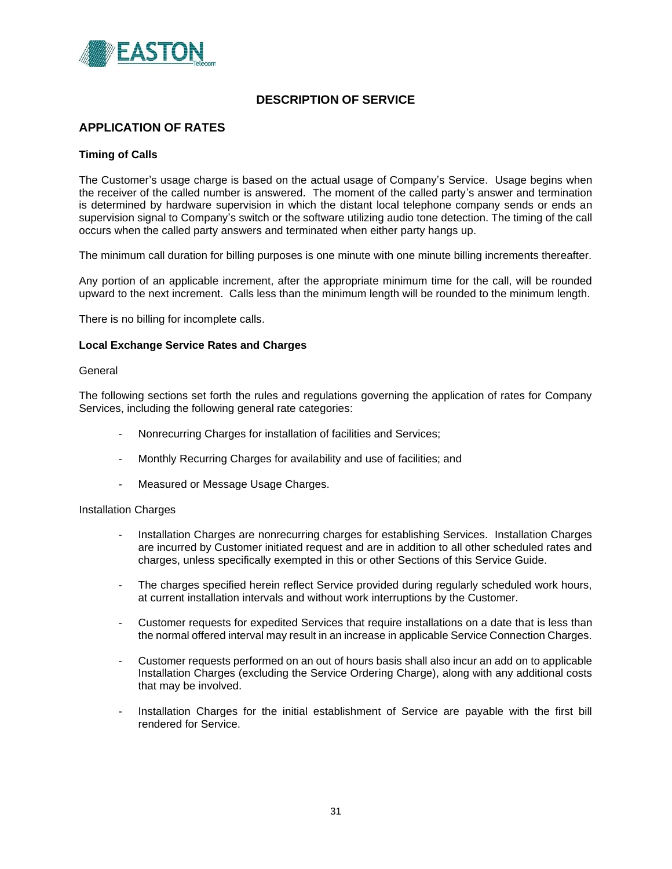

# **APPLICATION OF RATES**

#### **Timing of Calls**

The Customer's usage charge is based on the actual usage of Company's Service. Usage begins when the receiver of the called number is answered. The moment of the called party's answer and termination is determined by hardware supervision in which the distant local telephone company sends or ends an supervision signal to Company's switch or the software utilizing audio tone detection. The timing of the call occurs when the called party answers and terminated when either party hangs up.

The minimum call duration for billing purposes is one minute with one minute billing increments thereafter.

Any portion of an applicable increment, after the appropriate minimum time for the call, will be rounded upward to the next increment. Calls less than the minimum length will be rounded to the minimum length.

There is no billing for incomplete calls.

#### **Local Exchange Service Rates and Charges**

#### General

The following sections set forth the rules and regulations governing the application of rates for Company Services, including the following general rate categories:

- Nonrecurring Charges for installation of facilities and Services;
- Monthly Recurring Charges for availability and use of facilities; and
- Measured or Message Usage Charges.

#### Installation Charges

- Installation Charges are nonrecurring charges for establishing Services. Installation Charges are incurred by Customer initiated request and are in addition to all other scheduled rates and charges, unless specifically exempted in this or other Sections of this Service Guide.
- The charges specified herein reflect Service provided during regularly scheduled work hours, at current installation intervals and without work interruptions by the Customer.
- Customer requests for expedited Services that require installations on a date that is less than the normal offered interval may result in an increase in applicable Service Connection Charges.
- Customer requests performed on an out of hours basis shall also incur an add on to applicable Installation Charges (excluding the Service Ordering Charge), along with any additional costs that may be involved.
- Installation Charges for the initial establishment of Service are payable with the first bill rendered for Service.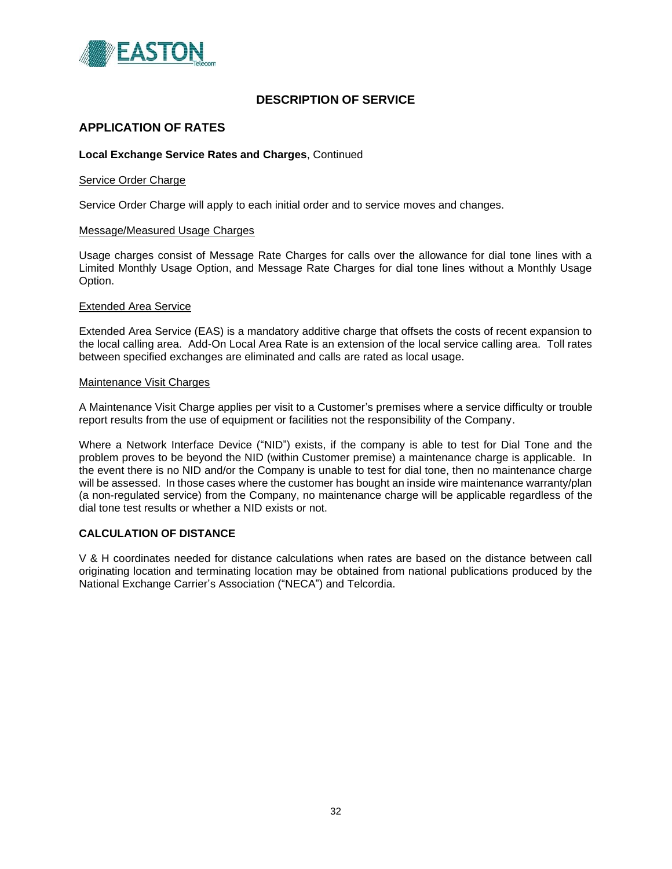

## **APPLICATION OF RATES**

#### **Local Exchange Service Rates and Charges**, Continued

#### Service Order Charge

Service Order Charge will apply to each initial order and to service moves and changes.

#### Message/Measured Usage Charges

Usage charges consist of Message Rate Charges for calls over the allowance for dial tone lines with a Limited Monthly Usage Option, and Message Rate Charges for dial tone lines without a Monthly Usage Option.

#### Extended Area Service

Extended Area Service (EAS) is a mandatory additive charge that offsets the costs of recent expansion to the local calling area. Add-On Local Area Rate is an extension of the local service calling area. Toll rates between specified exchanges are eliminated and calls are rated as local usage.

#### Maintenance Visit Charges

A Maintenance Visit Charge applies per visit to a Customer's premises where a service difficulty or trouble report results from the use of equipment or facilities not the responsibility of the Company.

Where a Network Interface Device ("NID") exists, if the company is able to test for Dial Tone and the problem proves to be beyond the NID (within Customer premise) a maintenance charge is applicable. In the event there is no NID and/or the Company is unable to test for dial tone, then no maintenance charge will be assessed. In those cases where the customer has bought an inside wire maintenance warranty/plan (a non-regulated service) from the Company, no maintenance charge will be applicable regardless of the dial tone test results or whether a NID exists or not.

#### **CALCULATION OF DISTANCE**

V & H coordinates needed for distance calculations when rates are based on the distance between call originating location and terminating location may be obtained from national publications produced by the National Exchange Carrier's Association ("NECA") and Telcordia.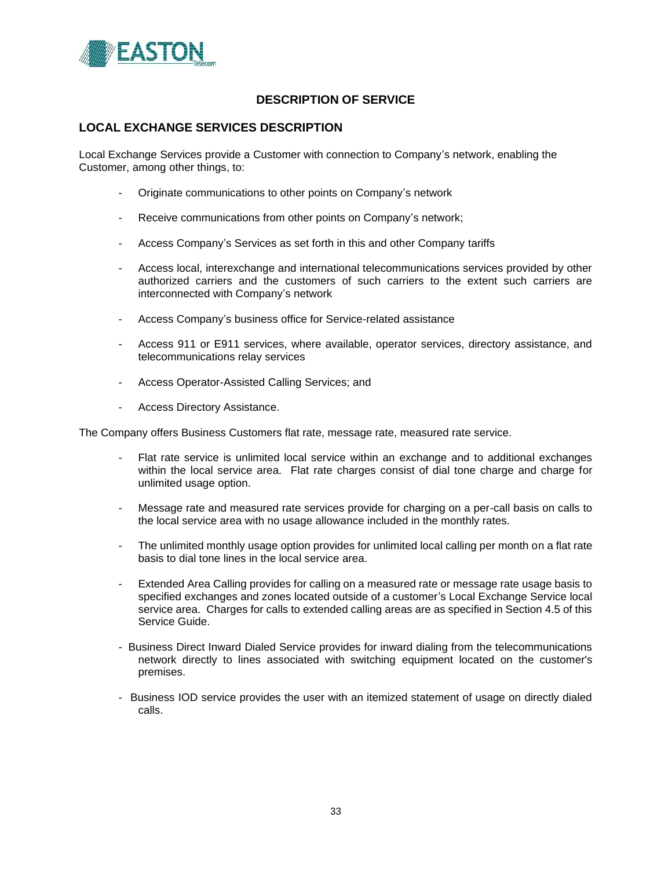

### **LOCAL EXCHANGE SERVICES DESCRIPTION**

Local Exchange Services provide a Customer with connection to Company's network, enabling the Customer, among other things, to:

- Originate communications to other points on Company's network
- Receive communications from other points on Company's network;
- Access Company's Services as set forth in this and other Company tariffs
- Access local, interexchange and international telecommunications services provided by other authorized carriers and the customers of such carriers to the extent such carriers are interconnected with Company's network
- Access Company's business office for Service-related assistance
- Access 911 or E911 services, where available, operator services, directory assistance, and telecommunications relay services
- Access Operator-Assisted Calling Services; and
- Access Directory Assistance.

The Company offers Business Customers flat rate, message rate, measured rate service.

- Flat rate service is unlimited local service within an exchange and to additional exchanges within the local service area. Flat rate charges consist of dial tone charge and charge for unlimited usage option.
- Message rate and measured rate services provide for charging on a per-call basis on calls to the local service area with no usage allowance included in the monthly rates.
- The unlimited monthly usage option provides for unlimited local calling per month on a flat rate basis to dial tone lines in the local service area.
- Extended Area Calling provides for calling on a measured rate or message rate usage basis to specified exchanges and zones located outside of a customer's Local Exchange Service local service area. Charges for calls to extended calling areas are as specified in Section 4.5 of this Service Guide.
- Business Direct Inward Dialed Service provides for inward dialing from the telecommunications network directly to lines associated with switching equipment located on the customer's premises.
- Business IOD service provides the user with an itemized statement of usage on directly dialed calls.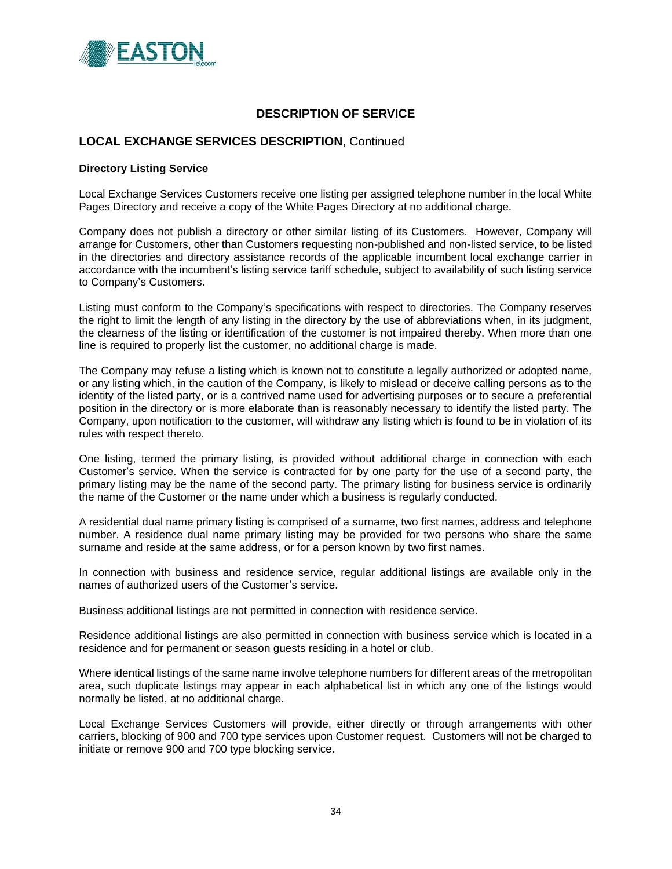

## **LOCAL EXCHANGE SERVICES DESCRIPTION**, Continued

#### **Directory Listing Service**

Local Exchange Services Customers receive one listing per assigned telephone number in the local White Pages Directory and receive a copy of the White Pages Directory at no additional charge.

Company does not publish a directory or other similar listing of its Customers. However, Company will arrange for Customers, other than Customers requesting non-published and non-listed service, to be listed in the directories and directory assistance records of the applicable incumbent local exchange carrier in accordance with the incumbent's listing service tariff schedule, subject to availability of such listing service to Company's Customers.

Listing must conform to the Company's specifications with respect to directories. The Company reserves the right to limit the length of any listing in the directory by the use of abbreviations when, in its judgment, the clearness of the listing or identification of the customer is not impaired thereby. When more than one line is required to properly list the customer, no additional charge is made.

The Company may refuse a listing which is known not to constitute a legally authorized or adopted name, or any listing which, in the caution of the Company, is likely to mislead or deceive calling persons as to the identity of the listed party, or is a contrived name used for advertising purposes or to secure a preferential position in the directory or is more elaborate than is reasonably necessary to identify the listed party. The Company, upon notification to the customer, will withdraw any listing which is found to be in violation of its rules with respect thereto.

One listing, termed the primary listing, is provided without additional charge in connection with each Customer's service. When the service is contracted for by one party for the use of a second party, the primary listing may be the name of the second party. The primary listing for business service is ordinarily the name of the Customer or the name under which a business is regularly conducted.

A residential dual name primary listing is comprised of a surname, two first names, address and telephone number. A residence dual name primary listing may be provided for two persons who share the same surname and reside at the same address, or for a person known by two first names.

In connection with business and residence service, regular additional listings are available only in the names of authorized users of the Customer's service.

Business additional listings are not permitted in connection with residence service.

Residence additional listings are also permitted in connection with business service which is located in a residence and for permanent or season guests residing in a hotel or club.

Where identical listings of the same name involve telephone numbers for different areas of the metropolitan area, such duplicate listings may appear in each alphabetical list in which any one of the listings would normally be listed, at no additional charge.

Local Exchange Services Customers will provide, either directly or through arrangements with other carriers, blocking of 900 and 700 type services upon Customer request. Customers will not be charged to initiate or remove 900 and 700 type blocking service.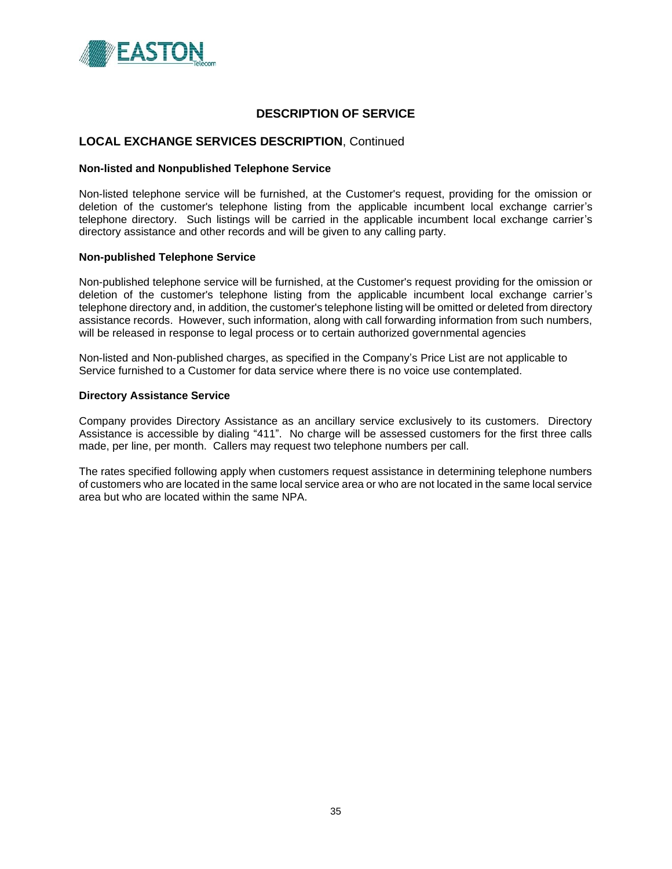

### **LOCAL EXCHANGE SERVICES DESCRIPTION**, Continued

#### **Non-listed and Nonpublished Telephone Service**

Non-listed telephone service will be furnished, at the Customer's request, providing for the omission or deletion of the customer's telephone listing from the applicable incumbent local exchange carrier's telephone directory. Such listings will be carried in the applicable incumbent local exchange carrier's directory assistance and other records and will be given to any calling party.

#### **Non-published Telephone Service**

Non-published telephone service will be furnished, at the Customer's request providing for the omission or deletion of the customer's telephone listing from the applicable incumbent local exchange carrier's telephone directory and, in addition, the customer's telephone listing will be omitted or deleted from directory assistance records. However, such information, along with call forwarding information from such numbers, will be released in response to legal process or to certain authorized governmental agencies

Non-listed and Non-published charges, as specified in the Company's Price List are not applicable to Service furnished to a Customer for data service where there is no voice use contemplated.

#### **Directory Assistance Service**

Company provides Directory Assistance as an ancillary service exclusively to its customers. Directory Assistance is accessible by dialing "411". No charge will be assessed customers for the first three calls made, per line, per month. Callers may request two telephone numbers per call.

The rates specified following apply when customers request assistance in determining telephone numbers of customers who are located in the same local service area or who are not located in the same local service area but who are located within the same NPA.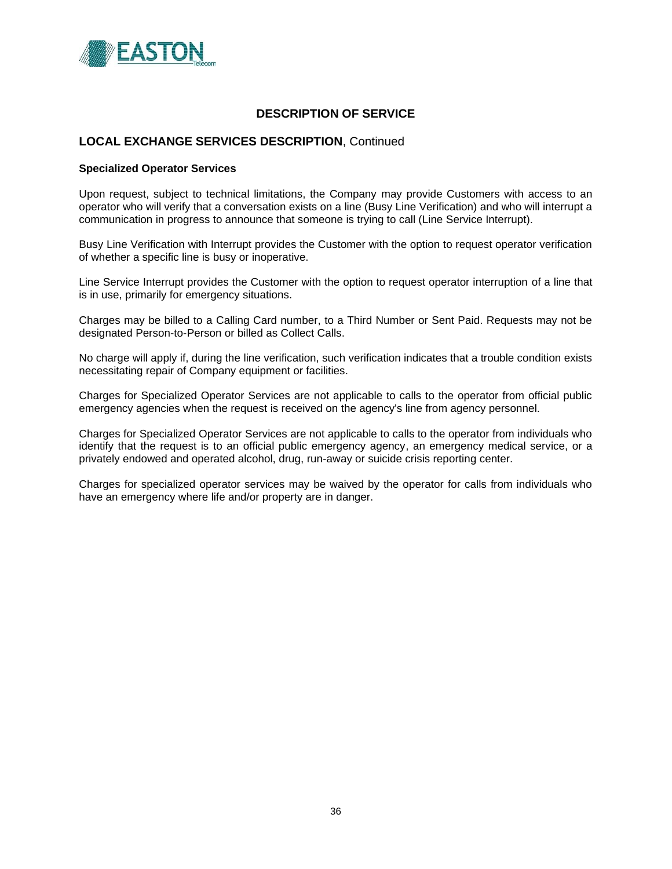

### **LOCAL EXCHANGE SERVICES DESCRIPTION**, Continued

#### **Specialized Operator Services**

Upon request, subject to technical limitations, the Company may provide Customers with access to an operator who will verify that a conversation exists on a line (Busy Line Verification) and who will interrupt a communication in progress to announce that someone is trying to call (Line Service Interrupt).

Busy Line Verification with Interrupt provides the Customer with the option to request operator verification of whether a specific line is busy or inoperative.

Line Service Interrupt provides the Customer with the option to request operator interruption of a line that is in use, primarily for emergency situations.

Charges may be billed to a Calling Card number, to a Third Number or Sent Paid. Requests may not be designated Person-to-Person or billed as Collect Calls.

No charge will apply if, during the line verification, such verification indicates that a trouble condition exists necessitating repair of Company equipment or facilities.

Charges for Specialized Operator Services are not applicable to calls to the operator from official public emergency agencies when the request is received on the agency's line from agency personnel.

Charges for Specialized Operator Services are not applicable to calls to the operator from individuals who identify that the request is to an official public emergency agency, an emergency medical service, or a privately endowed and operated alcohol, drug, run-away or suicide crisis reporting center.

Charges for specialized operator services may be waived by the operator for calls from individuals who have an emergency where life and/or property are in danger.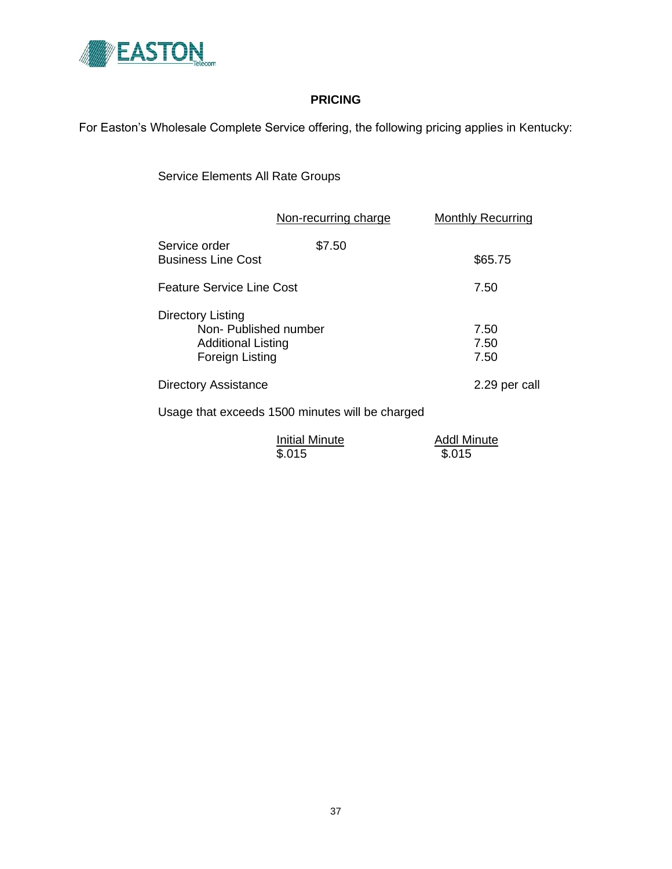

# **PRICING**

For Easton's Wholesale Complete Service offering, the following pricing applies in Kentucky:

Service Elements All Rate Groups

|                                                                                           | Non-recurring charge | <b>Monthly Recurring</b> |
|-------------------------------------------------------------------------------------------|----------------------|--------------------------|
| Service order<br><b>Business Line Cost</b>                                                | \$7.50               | \$65.75                  |
| Feature Service Line Cost                                                                 |                      | 7.50                     |
| Directory Listing<br>Non-Published number<br><b>Additional Listing</b><br>Foreign Listing |                      | 7.50<br>7.50<br>7.50     |
| <b>Directory Assistance</b>                                                               | 2.29 per call        |                          |
|                                                                                           |                      |                          |

Usage that exceeds 1500 minutes will be charged

| <b>Initial Minute</b> | <b>Addl Minute</b> |
|-----------------------|--------------------|
| \$.015                | \$.015             |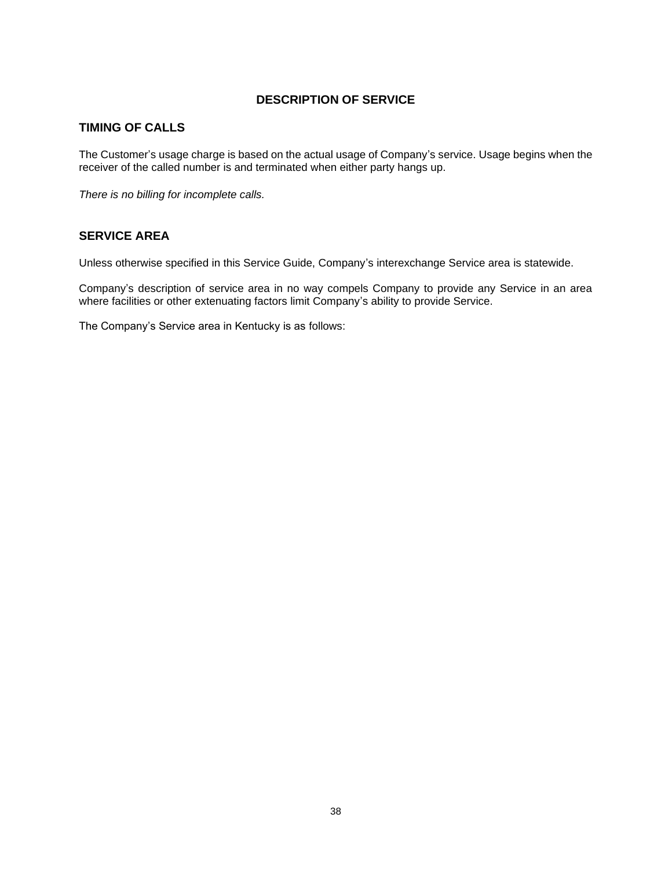# **TIMING OF CALLS**

The Customer's usage charge is based on the actual usage of Company's service. Usage begins when the receiver of the called number is and terminated when either party hangs up.

*There is no billing for incomplete calls.*

## **SERVICE AREA**

Unless otherwise specified in this Service Guide, Company's interexchange Service area is statewide.

Company's description of service area in no way compels Company to provide any Service in an area where facilities or other extenuating factors limit Company's ability to provide Service.

The Company's Service area in Kentucky is as follows: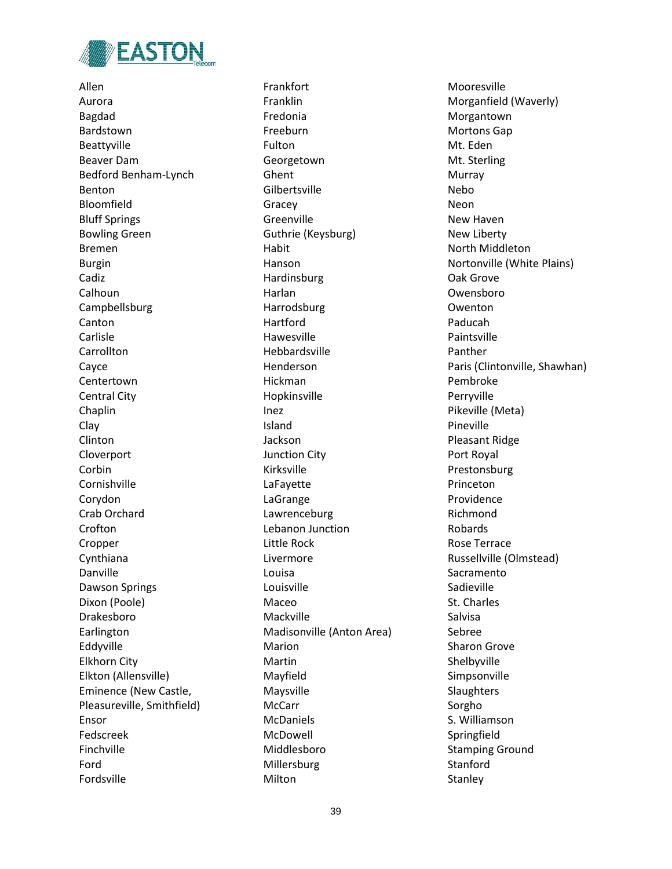

Allen Aurora Bagdad Bardstown Beattyville Beaver Dam Bedford Benham-Lynch Benton Bloomfield Bluff Springs Bowling Green Bremen Burgin Cadiz Calhoun Campbellsburg Canton Carlisle **Carrollton** Cayce Centertown Central City Chaplin Clay Clinton Cloverport Corbin Cornishville Corydon Crab Orchard Crofton Cropper Cynthiana Danville Dawson Springs Dixon (Poole) Drakesboro Earlington Eddyville Elkhorn City Elkton (Allensville) Eminence (New Castle, Pleasureville, Smithfield) Ensor Fedscreek Finchville Ford Fordsville

Frankfort Franklin Fredonia Freeburn Fulton **Georgetown** Ghent Gilbertsville Gracey Greenville Guthrie (Keysburg) Habit Hanson Hardinsburg Harlan Harrodsburg Hartford Hawesville Hebbardsville Henderson Hickman Hopkinsville Inez Island Jackson Junction City Kirksville LaFayette LaGrange Lawrenceburg Lebanon Junction Little Rock Livermore Louisa Louisville Maceo Mackville Madisonville (Anton Area) Marion Martin Mayfield Maysville McCarr McDaniels McDowell Middlesboro Millersburg Milton

Mooresville Morganfield (Waverly) Morgantown Mortons Gap Mt. Eden Mt. Sterling Murray Nebo Neon New Haven New Liberty North Middleton Nortonville (White Plains) Oak Grove Owensboro Owenton Paducah Paintsville Panther Paris (Clintonville, Shawhan) Pembroke Perryville Pikeville (Meta) Pineville Pleasant Ridge Port Royal Prestonsburg Princeton Providence Richmond Robards Rose Terrace Russellville (Olmstead) Sacramento Sadieville St. Charles Salvisa Sebree Sharon Grove Shelbyville Simpsonville **Slaughters** Sorgho S. Williamson Springfield Stamping Ground **Stanford** Stanley